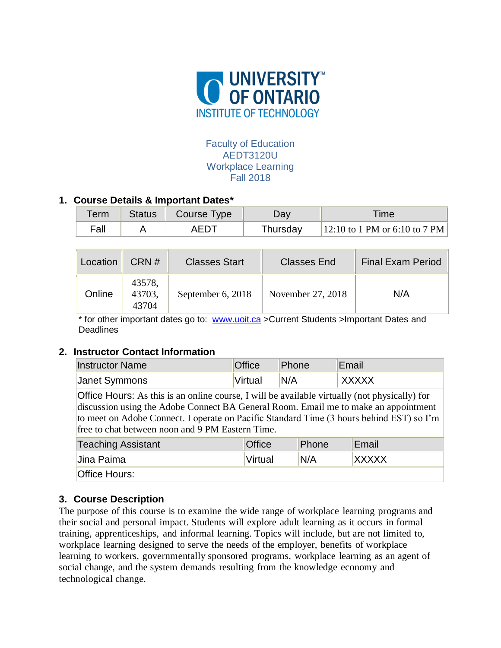

### Faculty of Education AEDT3120U Workplace Learning Fall 2018

## **1. Course Details & Important Dates\***

| Termi | Status   Course Type | ⊃av      | <b>Time</b>                   |
|-------|----------------------|----------|-------------------------------|
| Fall  | AEDT                 | Thursday | 12:10 to 1 PM or 6:10 to 7 PM |

| Location | CRN#                      | <b>Classes Start</b> | <b>Classes End</b> | <b>Final Exam Period</b> |
|----------|---------------------------|----------------------|--------------------|--------------------------|
| Online   | 43578,<br>43703,<br>43704 | September 6, 2018    | November 27, 2018  | N/A                      |

\* for other important dates go to: [www.uoit.ca](http://www.uoit.ca/) >Current Students >Important Dates and **Deadlines** 

### **2. Instructor Contact Information**

| <b>Instructor Name</b> | <b>Office</b> | Phone | Email |
|------------------------|---------------|-------|-------|
| Janet Symmons          | Virtual       | N/A   | XXXXX |

Office Hours: As this is an online course, I will be available virtually (not physically) for discussion using the Adobe Connect BA General Room. Email me to make an appointment to meet on Adobe Connect. I operate on Pacific Standard Time (3 hours behind EST) so I'm free to chat between noon and 9 PM Eastern Time.

| <b>Teaching Assistant</b> | <b>Office</b> | Phone | Email        |
|---------------------------|---------------|-------|--------------|
| Jina Paima                | Virtual       | N/A   | <b>XXXXX</b> |
| <b>Office Hours:</b>      |               |       |              |

# **3. Course Description**

The purpose of this course is to examine the wide range of workplace learning programs and their social and personal impact. Students will explore adult learning as it occurs in formal training, apprenticeships, and informal learning. Topics will include, but are not limited to, workplace learning designed to serve the needs of the employer, benefits of workplace learning to workers, governmentally sponsored programs, workplace learning as an agent of social change, and the system demands resulting from the knowledge economy and technological change.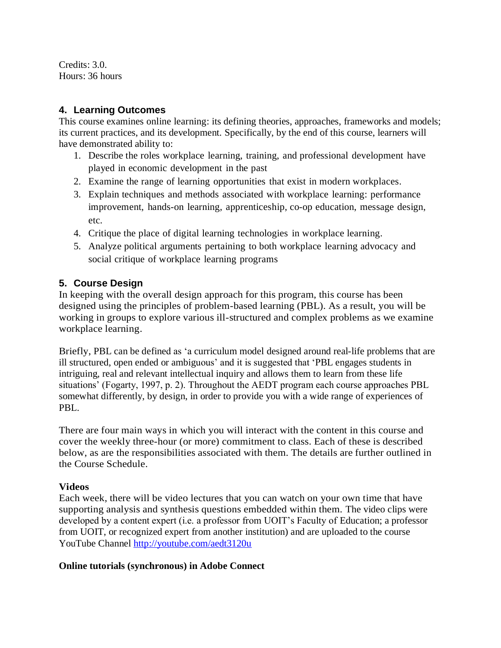Credits: 3.0. Hours: 36 hours

## **4. Learning Outcomes**

This course examines online learning: its defining theories, approaches, frameworks and models; its current practices, and its development. Specifically, by the end of this course, learners will have demonstrated ability to:

- 1. Describe the roles workplace learning, training, and professional development have played in economic development in the past
- 2. Examine the range of learning opportunities that exist in modern workplaces.
- 3. Explain techniques and methods associated with workplace learning: performance improvement, hands-on learning, apprenticeship, co-op education, message design, etc.
- 4. Critique the place of digital learning technologies in workplace learning.
- 5. Analyze political arguments pertaining to both workplace learning advocacy and social critique of workplace learning programs

# **5. Course Design**

In keeping with the overall design approach for this program, this course has been designed using the principles of problem-based learning (PBL). As a result, you will be working in groups to explore various ill-structured and complex problems as we examine workplace learning.

Briefly, PBL can be defined as 'a curriculum model designed around real-life problems that are ill structured, open ended or ambiguous' and it is suggested that 'PBL engages students in intriguing, real and relevant intellectual inquiry and allows them to learn from these life situations' (Fogarty, 1997, p. 2). Throughout the AEDT program each course approaches PBL somewhat differently, by design, in order to provide you with a wide range of experiences of PBL.

There are four main ways in which you will interact with the content in this course and cover the weekly three-hour (or more) commitment to class. Each of these is described below, as are the responsibilities associated with them. The details are further outlined in the Course Schedule.

## **Videos**

Each week, there will be video lectures that you can watch on your own time that have supporting analysis and synthesis questions embedded within them. The video clips were developed by a content expert (i.e. a professor from UOIT's Faculty of Education; a professor from UOIT, or recognized expert from another institution) and are uploaded to the course YouTube Channel<http://youtube.com/aedt3120u>

## **Online tutorials (synchronous) in Adobe Connect**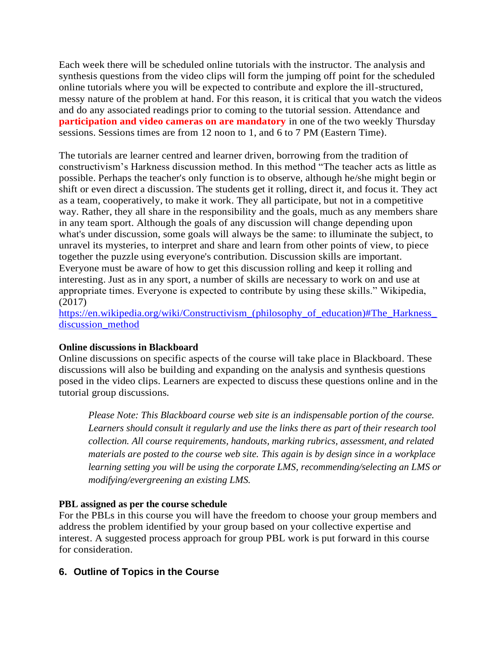Each week there will be scheduled online tutorials with the instructor. The analysis and synthesis questions from the video clips will form the jumping off point for the scheduled online tutorials where you will be expected to contribute and explore the ill-structured, messy nature of the problem at hand. For this reason, it is critical that you watch the videos and do any associated readings prior to coming to the tutorial session. Attendance and **participation and video cameras on are mandatory** in one of the two weekly Thursday sessions. Sessions times are from 12 noon to 1, and 6 to 7 PM (Eastern Time).

The tutorials are learner centred and learner driven, borrowing from the tradition of constructivism's Harkness discussion method. In this method "The teacher acts as little as possible. Perhaps the teacher's only function is to observe, although he/she might begin or shift or even direct a discussion. The students get it rolling, direct it, and focus it. They act as a team, cooperatively, to make it work. They all participate, but not in a competitive way. Rather, they all share in the responsibility and the goals, much as any members share in any team sport. Although the goals of any discussion will change depending upon what's under discussion, some goals will always be the same: to illuminate the subject, to unravel its mysteries, to interpret and share and learn from other points of view, to piece together the puzzle using everyone's contribution. Discussion skills are important. Everyone must be aware of how to get this discussion rolling and keep it rolling and interesting. Just as in any sport, a number of skills are necessary to work on and use at appropriate times. Everyone is expected to contribute by using these skills." Wikipedia, (2017)

https://en.wikipedia.org/wiki/Constructivism (philosophy of education)#The Harkness [discussion\\_method](https://en.wikipedia.org/wiki/Constructivism_(philosophy_of_education)#The_Harkness_discussion_method)

#### **Online discussions in Blackboard**

Online discussions on specific aspects of the course will take place in Blackboard. These discussions will also be building and expanding on the analysis and synthesis questions posed in the video clips. Learners are expected to discuss these questions online and in the tutorial group discussions.

*Please Note: This Blackboard course web site is an indispensable portion of the course. Learners should consult it regularly and use the links there as part of their research tool collection. All course requirements, handouts, marking rubrics, assessment, and related materials are posted to the course web site. This again is by design since in a workplace learning setting you will be using the corporate LMS, recommending/selecting an LMS or modifying/evergreening an existing LMS.*

### **PBL assigned as per the course schedule**

For the PBLs in this course you will have the freedom to choose your group members and address the problem identified by your group based on your collective expertise and interest. A suggested process approach for group PBL work is put forward in this course for consideration.

### **6. Outline of Topics in the Course**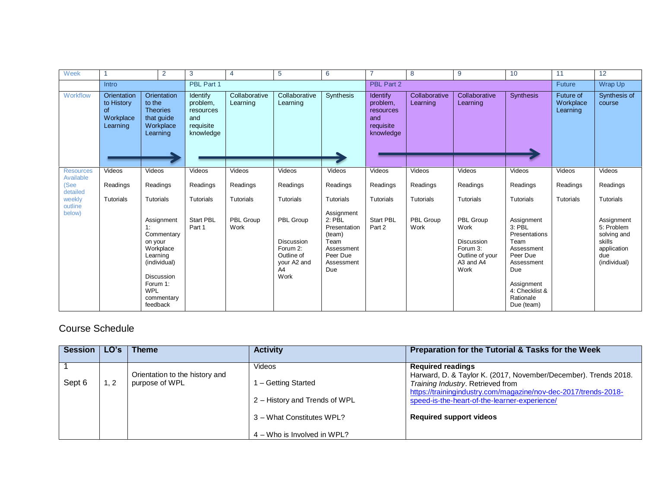| Week                          |                                                          | 2                                                                                                                                                           | 3                                                                  | 4                         | 5                                                                              | 6                                                                                                       | 7                                                                         | 8                         | 9                                                                                          | 10                                                                                                                                                        | 11                                        | 12                                                                                      |
|-------------------------------|----------------------------------------------------------|-------------------------------------------------------------------------------------------------------------------------------------------------------------|--------------------------------------------------------------------|---------------------------|--------------------------------------------------------------------------------|---------------------------------------------------------------------------------------------------------|---------------------------------------------------------------------------|---------------------------|--------------------------------------------------------------------------------------------|-----------------------------------------------------------------------------------------------------------------------------------------------------------|-------------------------------------------|-----------------------------------------------------------------------------------------|
|                               | Intro                                                    |                                                                                                                                                             | PBL Part 1                                                         |                           |                                                                                |                                                                                                         | PBL Part 2                                                                |                           |                                                                                            |                                                                                                                                                           | <b>Future</b>                             | Wrap Up                                                                                 |
| Workflow                      | Orientation<br>to History<br>0f<br>Workplace<br>Learning | Orientation<br>to the<br><b>Theories</b><br>that guide<br>Workplace<br>Learning                                                                             | Identify<br>problem,<br>resources<br>and<br>requisite<br>knowledge | Collaborative<br>Learning | Collaborative<br>Learning                                                      | Synthesis                                                                                               | <b>Identify</b><br>problem,<br>resources<br>and<br>requisite<br>knowledge | Collaborative<br>Learning | Collaborative<br>Learning                                                                  | <b>Synthesis</b>                                                                                                                                          | <b>Future of</b><br>Workplace<br>Learning | Synthesis of<br>course                                                                  |
| <b>Resources</b>              | Videos                                                   | Videos                                                                                                                                                      | Videos                                                             | Videos                    | Videos                                                                         | Videos                                                                                                  | Videos                                                                    | Videos                    | Videos                                                                                     | Videos                                                                                                                                                    | Videos                                    | Videos                                                                                  |
| Available<br>(See<br>detailed | Readings                                                 | Readings                                                                                                                                                    | Readings                                                           | Readings                  | Readings                                                                       | Readings                                                                                                | Readings                                                                  | Readings                  | Readings                                                                                   | Readings                                                                                                                                                  | Readings                                  | Readings                                                                                |
| weekly<br>outline             | <b>Tutorials</b>                                         | Tutorials                                                                                                                                                   | Tutorials                                                          | Tutorials                 | Tutorials                                                                      | <b>Tutorials</b>                                                                                        | Tutorials                                                                 | Tutorials                 | <b>Tutorials</b>                                                                           | <b>Tutorials</b>                                                                                                                                          | Tutorials                                 | Tutorials                                                                               |
| below)                        |                                                          | Assignment<br>1:<br>Commentary<br>on your<br>Workplace<br>Learning<br>(individual)<br><b>Discussion</b><br>Forum 1:<br><b>WPL</b><br>commentary<br>feedback | Start PBL<br>Part 1                                                | PBL Group<br>Work         | PBL Group<br>Discussion<br>Forum 2:<br>Outline of<br>your A2 and<br>A4<br>Work | Assignment<br>$2:$ PBL<br>Presentation<br>(team)<br>Team<br>Assessment<br>Peer Due<br>Assessment<br>Due | Start PBL<br>Part 2                                                       | PBL Group<br>Work         | PBL Group<br>Work<br><b>Discussion</b><br>Forum 3:<br>Outline of your<br>A3 and A4<br>Work | Assignment<br>$3:$ PBL<br>Presentations<br>Team<br>Assessment<br>Peer Due<br>Assessment<br>Due<br>Assignment<br>4: Checklist &<br>Rationale<br>Due (team) |                                           | Assignment<br>5: Problem<br>solving and<br>skills<br>application<br>due<br>(individual) |

# Course Schedule

| Session I |     | ∣ Theme                                          | <b>Activity</b>                                                                                                            | Preparation for the Tutorial & Tasks for the Week                                                                                                                                                                                                                                      |
|-----------|-----|--------------------------------------------------|----------------------------------------------------------------------------------------------------------------------------|----------------------------------------------------------------------------------------------------------------------------------------------------------------------------------------------------------------------------------------------------------------------------------------|
| Sept 6    | 1.2 | Orientation to the history and<br>purpose of WPL | Videos<br>1 - Getting Started<br>2 - History and Trends of WPL<br>3 - What Constitutes WPL?<br>4 – Who is Involved in WPL? | <b>Required readings</b><br>Harward, D. & Taylor K. (2017, November/December). Trends 2018.<br>Training Industry. Retrieved from<br>https://trainingindustry.com/magazine/nov-dec-2017/trends-2018-<br>speed-is-the-heart-of-the-learner-experience/<br><b>Required support videos</b> |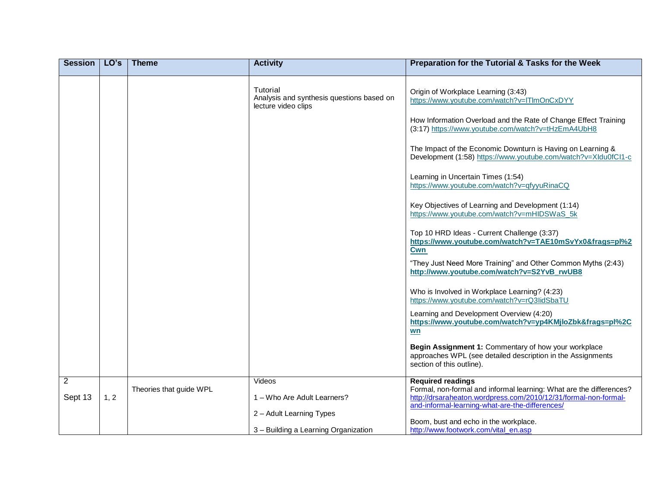| <b>Session</b> | LO's | <b>Theme</b>            | <b>Activity</b>                                                              | Preparation for the Tutorial & Tasks for the Week                                                                                                                                                                                                                                                                                                                                                                                                                                                                                                                                                                                                                                                                                                                                                                                                                   |
|----------------|------|-------------------------|------------------------------------------------------------------------------|---------------------------------------------------------------------------------------------------------------------------------------------------------------------------------------------------------------------------------------------------------------------------------------------------------------------------------------------------------------------------------------------------------------------------------------------------------------------------------------------------------------------------------------------------------------------------------------------------------------------------------------------------------------------------------------------------------------------------------------------------------------------------------------------------------------------------------------------------------------------|
|                |      |                         | Tutorial<br>Analysis and synthesis questions based on<br>lecture video clips | Origin of Workplace Learning (3:43)<br>https://www.youtube.com/watch?v=lTlmOnCxDYY<br>How Information Overload and the Rate of Change Effect Training<br>(3:17) https://www.youtube.com/watch?v=tHzEmA4UbH8<br>The Impact of the Economic Downturn is Having on Learning &<br>Development (1:58) https://www.youtube.com/watch?v=XIdu0fCI1-c<br>Learning in Uncertain Times (1:54)<br>https://www.youtube.com/watch?v=qfyyuRinaCQ<br>Key Objectives of Learning and Development (1:14)<br>https://www.youtube.com/watch?v=mHIDSWaS_5k<br>Top 10 HRD Ideas - Current Challenge (3:37)<br>https://www.youtube.com/watch?v=TAE10mSvYx0&frags=pl%2<br>Cwn<br>"They Just Need More Training" and Other Common Myths (2:43)<br>http://www.youtube.com/watch?v=S2YvB rwUB8<br>Who is Involved in Workplace Learning? (4:23)<br>https://www.youtube.com/watch?v=rQ3lidSbaTU |
|                |      |                         |                                                                              | Learning and Development Overview (4:20)<br>https://www.youtube.com/watch?v=yp4KMjloZbk&frags=pl%2C<br>wn                                                                                                                                                                                                                                                                                                                                                                                                                                                                                                                                                                                                                                                                                                                                                           |
|                |      |                         |                                                                              | Begin Assignment 1: Commentary of how your workplace<br>approaches WPL (see detailed description in the Assignments<br>section of this outline).                                                                                                                                                                                                                                                                                                                                                                                                                                                                                                                                                                                                                                                                                                                    |
| $\overline{2}$ |      | Theories that guide WPL | Videos                                                                       | <b>Required readings</b><br>Formal, non-formal and informal learning: What are the differences?                                                                                                                                                                                                                                                                                                                                                                                                                                                                                                                                                                                                                                                                                                                                                                     |
| Sept 13        | 1, 2 |                         | 1 – Who Are Adult Learners?                                                  | http://drsaraheaton.wordpress.com/2010/12/31/formal-non-formal-                                                                                                                                                                                                                                                                                                                                                                                                                                                                                                                                                                                                                                                                                                                                                                                                     |
|                |      |                         |                                                                              |                                                                                                                                                                                                                                                                                                                                                                                                                                                                                                                                                                                                                                                                                                                                                                                                                                                                     |
|                |      |                         |                                                                              | Boom, bust and echo in the workplace.                                                                                                                                                                                                                                                                                                                                                                                                                                                                                                                                                                                                                                                                                                                                                                                                                               |
|                |      |                         | 2 - Adult Learning Types<br>3 - Building a Learning Organization             | and-informal-learning-what-are-the-differences/<br>http://www.footwork.com/vital_en.asp                                                                                                                                                                                                                                                                                                                                                                                                                                                                                                                                                                                                                                                                                                                                                                             |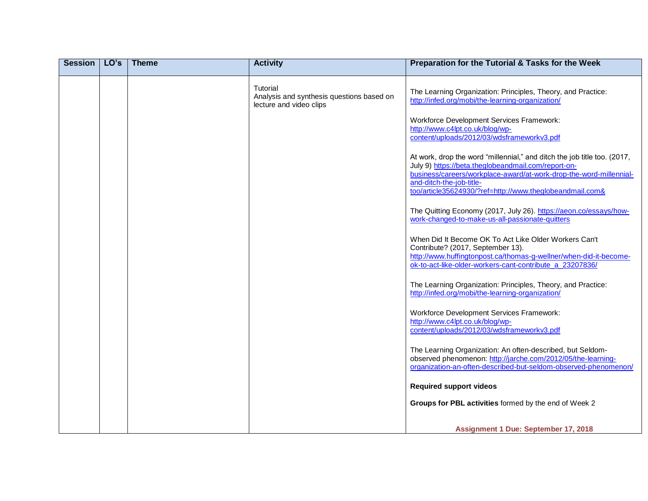| <b>Session</b> | LO's | <b>Theme</b> | <b>Activity</b>                                                                  | Preparation for the Tutorial & Tasks for the Week                                                                                                                                                                                                                                             |
|----------------|------|--------------|----------------------------------------------------------------------------------|-----------------------------------------------------------------------------------------------------------------------------------------------------------------------------------------------------------------------------------------------------------------------------------------------|
|                |      |              | Tutorial<br>Analysis and synthesis questions based on<br>lecture and video clips | The Learning Organization: Principles, Theory, and Practice:<br>http://infed.org/mobi/the-learning-organization/                                                                                                                                                                              |
|                |      |              |                                                                                  | <b>Workforce Development Services Framework:</b><br>http://www.c4lpt.co.uk/blog/wp-<br>content/uploads/2012/03/wdsframeworkv3.pdf                                                                                                                                                             |
|                |      |              |                                                                                  | At work, drop the word "millennial," and ditch the job title too. (2017,<br>July 9) https://beta.theglobeandmail.com/report-on-<br>business/careers/workplace-award/at-work-drop-the-word-millennial-<br>and-ditch-the-job-title-<br>too/article35624930/?ref=http://www.theglobeandmail.com& |
|                |      |              |                                                                                  | The Quitting Economy (2017, July 26). https://aeon.co/essays/how-<br>work-changed-to-make-us-all-passionate-quitters                                                                                                                                                                          |
|                |      |              |                                                                                  | When Did It Become OK To Act Like Older Workers Can't<br>Contribute? (2017, September 13).<br>http://www.huffingtonpost.ca/thomas-g-wellner/when-did-it-become-<br>ok-to-act-like-older-workers-cant-contribute a 23207836/                                                                   |
|                |      |              |                                                                                  | The Learning Organization: Principles, Theory, and Practice:<br>http://infed.org/mobi/the-learning-organization/                                                                                                                                                                              |
|                |      |              |                                                                                  | <b>Workforce Development Services Framework:</b><br>http://www.c4lpt.co.uk/blog/wp-<br>content/uploads/2012/03/wdsframeworkv3.pdf                                                                                                                                                             |
|                |      |              |                                                                                  | The Learning Organization: An often-described, but Seldom-<br>observed phenomenon: http://jarche.com/2012/05/the-learning-<br>organization-an-often-described-but-seldom-observed-phenomenon/                                                                                                 |
|                |      |              |                                                                                  | <b>Required support videos</b>                                                                                                                                                                                                                                                                |
|                |      |              |                                                                                  | Groups for PBL activities formed by the end of Week 2                                                                                                                                                                                                                                         |
|                |      |              |                                                                                  | Assignment 1 Due: September 17, 2018                                                                                                                                                                                                                                                          |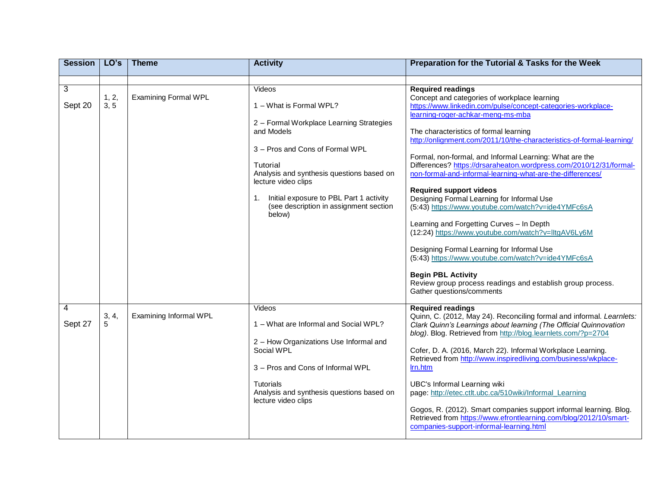| <b>Session</b> | LO's          | <b>Theme</b>                | <b>Activity</b>                                                                                                                                                                                                                                                                                               | Preparation for the Tutorial & Tasks for the Week                                                                                                                                                                                                                                                                                                                                                                                                                                                                                                                                                                                                                                                                                                                                                                                                                                                                                                                     |
|----------------|---------------|-----------------------------|---------------------------------------------------------------------------------------------------------------------------------------------------------------------------------------------------------------------------------------------------------------------------------------------------------------|-----------------------------------------------------------------------------------------------------------------------------------------------------------------------------------------------------------------------------------------------------------------------------------------------------------------------------------------------------------------------------------------------------------------------------------------------------------------------------------------------------------------------------------------------------------------------------------------------------------------------------------------------------------------------------------------------------------------------------------------------------------------------------------------------------------------------------------------------------------------------------------------------------------------------------------------------------------------------|
|                |               |                             |                                                                                                                                                                                                                                                                                                               |                                                                                                                                                                                                                                                                                                                                                                                                                                                                                                                                                                                                                                                                                                                                                                                                                                                                                                                                                                       |
| 3<br>Sept 20   | 1, 2,<br>3, 5 | <b>Examining Formal WPL</b> | Videos<br>1 - What is Formal WPL?<br>2 - Formal Workplace Learning Strategies<br>and Models<br>3 - Pros and Cons of Formal WPL<br>Tutorial<br>Analysis and synthesis questions based on<br>lecture video clips<br>Initial exposure to PBL Part 1 activity<br>(see description in assignment section<br>below) | <b>Required readings</b><br>Concept and categories of workplace learning<br>https://www.linkedin.com/pulse/concept-categories-workplace-<br>learning-roger-achkar-meng-ms-mba<br>The characteristics of formal learning<br>http://onlignment.com/2011/10/the-characteristics-of-formal-learning/<br>Formal, non-formal, and Informal Learning: What are the<br>Differences? https://drsaraheaton.wordpress.com/2010/12/31/formal-<br>non-formal-and-informal-learning-what-are-the-differences/<br><b>Required support videos</b><br>Designing Formal Learning for Informal Use<br>(5:43) https://www.youtube.com/watch?v=ide4YMFc6sA<br>Learning and Forgetting Curves - In Depth<br>(12:24) https://www.youtube.com/watch?v=lltgAV6Ly6M<br>Designing Formal Learning for Informal Use<br>(5:43) https://www.youtube.com/watch?v=ide4YMFc6sA<br><b>Begin PBL Activity</b><br>Review group process readings and establish group process.<br>Gather questions/comments |
| 4<br>Sept 27   | 3, 4,<br>5    | Examining Informal WPL      | Videos<br>1 - What are Informal and Social WPL?<br>2 - How Organizations Use Informal and<br>Social WPL<br>3 - Pros and Cons of Informal WPL<br>Tutorials<br>Analysis and synthesis questions based on<br>lecture video clips                                                                                 | <b>Required readings</b><br>Quinn, C. (2012, May 24). Reconciling formal and informal. Learnlets:<br>Clark Quinn's Learnings about learning (The Official Quinnovation<br>blog). Blog. Retrieved from http://blog.learnlets.com/?p=2704<br>Cofer, D. A. (2016, March 22). Informal Workplace Learning.<br>Retrieved from http://www.inspiredliving.com/business/wkplace-<br>Irn.htm<br>UBC's Informal Learning wiki<br>page: http://etec.ctlt.ubc.ca/510wiki/Informal_Learning<br>Gogos, R. (2012). Smart companies support informal learning. Blog.<br>Retrieved from https://www.efrontlearning.com/blog/2012/10/smart-<br>companies-support-informal-learning.html                                                                                                                                                                                                                                                                                                 |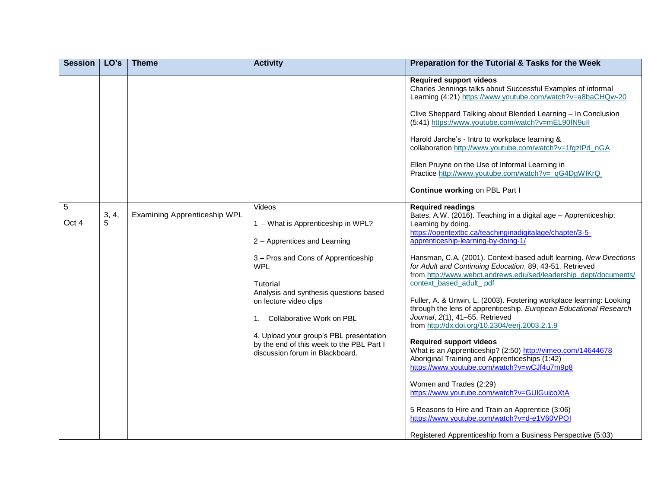| <b>Session</b>               | LO's  | <b>Theme</b>                 | <b>Activity</b>                                                                                                                                                                                                                                                                                                                                                                 | Preparation for the Tutorial & Tasks for the Week                                                                                                                                                                                                                                                                                                                                                                                                                                                                                                                                                                                                                                                                                                                                                                                                                                                                                                                                                                                                                                                                                       |
|------------------------------|-------|------------------------------|---------------------------------------------------------------------------------------------------------------------------------------------------------------------------------------------------------------------------------------------------------------------------------------------------------------------------------------------------------------------------------|-----------------------------------------------------------------------------------------------------------------------------------------------------------------------------------------------------------------------------------------------------------------------------------------------------------------------------------------------------------------------------------------------------------------------------------------------------------------------------------------------------------------------------------------------------------------------------------------------------------------------------------------------------------------------------------------------------------------------------------------------------------------------------------------------------------------------------------------------------------------------------------------------------------------------------------------------------------------------------------------------------------------------------------------------------------------------------------------------------------------------------------------|
|                              |       |                              |                                                                                                                                                                                                                                                                                                                                                                                 | <b>Required support videos</b><br>Charles Jennings talks about Successful Examples of informal<br>Learning (4:21) https://www.youtube.com/watch?v=a8baCHQw-20<br>Clive Sheppard Talking about Blended Learning - In Conclusion<br>(5:41) https://www.youtube.com/watch?v=mEL90fN9ull<br>Harold Jarche's - Intro to workplace learning &<br>collaboration http://www.youtube.com/watch?v=1fgzlPd_nGA<br>Ellen Pruyne on the Use of Informal Learning in<br>Practice http://www.youtube.com/watch?v=_qG4DgWIKrQ<br>Continue working on PBL Part I                                                                                                                                                                                                                                                                                                                                                                                                                                                                                                                                                                                         |
| $\overline{5}$<br>5<br>Oct 4 | 3, 4, | Examining Apprenticeship WPL | Videos<br>1 - What is Apprenticeship in WPL?<br>2 - Apprentices and Learning<br>3 - Pros and Cons of Apprenticeship<br><b>WPL</b><br>Tutorial<br>Analysis and synthesis questions based<br>on lecture video clips<br>Collaborative Work on PBL<br>1.<br>4. Upload your group's PBL presentation<br>by the end of this week to the PBL Part I<br>discussion forum in Blackboard. | <b>Required readings</b><br>Bates, A.W. (2016). Teaching in a digital age - Apprenticeship:<br>Learning by doing.<br>https://opentextbc.ca/teachinginadigitalage/chapter/3-5-<br>apprenticeship-learning-by-doing-1/<br>Hansman, C.A. (2001). Context-based adult learning. New Directions<br>for Adult and Continuing Education, 89, 43-51. Retrieved<br>from http://www.webct.andrews.edu/sed/leadership_dept/documents/<br>context based adult .pdf<br>Fuller, A. & Unwin, L. (2003). Fostering workplace learning: Looking<br>through the lens of apprenticeship. European Educational Research<br>Journal, 2(1), 41-55. Retrieved<br>from http://dx.doi.org/10.2304/eerj.2003.2.1.9<br><b>Required support videos</b><br>What is an Apprenticeship? (2:50) http://vimeo.com/14644678<br>Aboriginal Training and Apprenticeships (1:42)<br>https://www.youtube.com/watch?v=wCJf4u7m9p8<br>Women and Trades (2:29)<br>https://www.youtube.com/watch?v=GUIGuicoXtA<br>5 Reasons to Hire and Train an Apprentice (3:06)<br>https://www.youtube.com/watch?v=d-e1V60VPOI<br>Registered Apprenticeship from a Business Perspective (5:03) |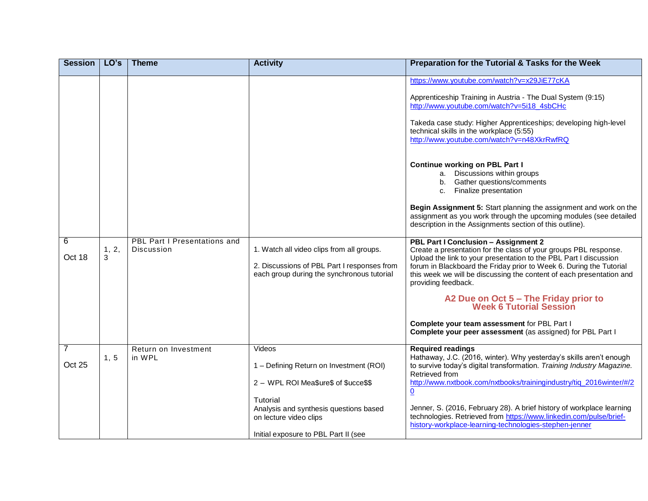| <b>Session</b>           | LO's       | <b>Theme</b>                                      | <b>Activity</b>                                                                                                                                                           | Preparation for the Tutorial & Tasks for the Week                                                                                                                                                                                                                                                                                                                                                                                                                                                                                                                                                                                                                 |
|--------------------------|------------|---------------------------------------------------|---------------------------------------------------------------------------------------------------------------------------------------------------------------------------|-------------------------------------------------------------------------------------------------------------------------------------------------------------------------------------------------------------------------------------------------------------------------------------------------------------------------------------------------------------------------------------------------------------------------------------------------------------------------------------------------------------------------------------------------------------------------------------------------------------------------------------------------------------------|
|                          |            |                                                   |                                                                                                                                                                           | https://www.youtube.com/watch?v=x29JiE77cKA<br>Apprenticeship Training in Austria - The Dual System (9:15)<br>http://www.youtube.com/watch?v=5i18_4sbCHc<br>Takeda case study: Higher Apprenticeships; developing high-level<br>technical skills in the workplace (5:55)<br>http://www.youtube.com/watch?v=n48XkrRwfRQ<br><b>Continue working on PBL Part I</b><br>a. Discussions within groups<br>b. Gather questions/comments<br>c. Finalize presentation<br>Begin Assignment 5: Start planning the assignment and work on the<br>assignment as you work through the upcoming modules (see detailed<br>description in the Assignments section of this outline). |
| 6<br>Oct 18              | 1, 2,<br>3 | <b>PBL Part I Presentations and</b><br>Discussion | 1. Watch all video clips from all groups.<br>2. Discussions of PBL Part I responses from<br>each group during the synchronous tutorial                                    | PBL Part I Conclusion - Assignment 2<br>Create a presentation for the class of your groups PBL response.<br>Upload the link to your presentation to the PBL Part I discussion<br>forum in Blackboard the Friday prior to Week 6. During the Tutorial<br>this week we will be discussing the content of each presentation and<br>providing feedback.<br>A2 Due on Oct 5 - The Friday prior to<br>Week 6 Tutorial Session<br>Complete your team assessment for PBL Part I<br>Complete your peer assessment (as assigned) for PBL Part I                                                                                                                             |
| $\overline{7}$<br>Oct 25 | 1, 5       | Return on Investment<br>in WPL                    | Videos<br>1 - Defining Return on Investment (ROI)<br>2 - WPL ROI Mea\$ure\$ of \$ucce\$\$<br>Tutorial<br>Analysis and synthesis questions based<br>on lecture video clips | <b>Required readings</b><br>Hathaway, J.C. (2016, winter). Why yesterday's skills aren't enough<br>to survive today's digital transformation. Training Industry Magazine.<br>Retrieved from<br>http://www.nxtbook.com/nxtbooks/trainingindustry/tiq_2016winter/#/2<br>$\underline{\mathbf{0}}$<br>Jenner, S. (2016, February 28). A brief history of workplace learning<br>technologies. Retrieved from https://www.linkedin.com/pulse/brief-                                                                                                                                                                                                                     |
|                          |            |                                                   | Initial exposure to PBL Part II (see                                                                                                                                      | history-workplace-learning-technologies-stephen-jenner                                                                                                                                                                                                                                                                                                                                                                                                                                                                                                                                                                                                            |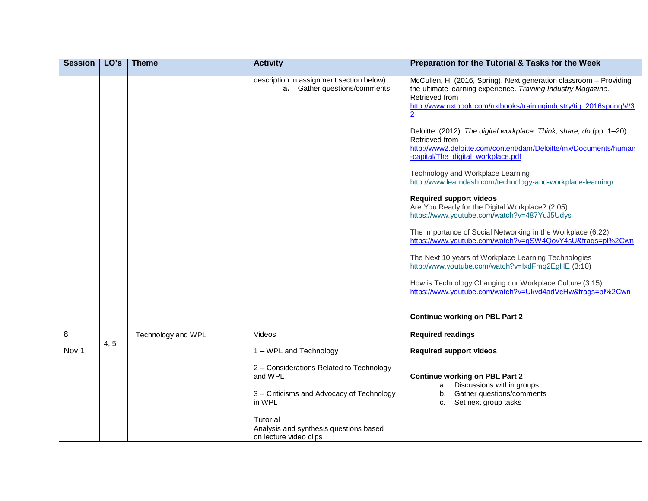| <b>Session</b>          | LO's | <b>Theme</b>       | <b>Activity</b>                                                                 | Preparation for the Tutorial & Tasks for the Week                                                                                                                                                                                                                                                                                                                                                                                                                                                                                                                                                                                                                                                                                                                                                                                                                                                                                                                                               |
|-------------------------|------|--------------------|---------------------------------------------------------------------------------|-------------------------------------------------------------------------------------------------------------------------------------------------------------------------------------------------------------------------------------------------------------------------------------------------------------------------------------------------------------------------------------------------------------------------------------------------------------------------------------------------------------------------------------------------------------------------------------------------------------------------------------------------------------------------------------------------------------------------------------------------------------------------------------------------------------------------------------------------------------------------------------------------------------------------------------------------------------------------------------------------|
|                         |      |                    | description in assignment section below)<br><b>a.</b> Gather questions/comments | McCullen, H. (2016, Spring). Next generation classroom - Providing<br>the ultimate learning experience. Training Industry Magazine.<br>Retrieved from<br>http://www.nxtbook.com/nxtbooks/trainingindustry/tiq_2016spring/#/3<br>$\overline{2}$<br>Deloitte. (2012). The digital workplace: Think, share, do (pp. 1-20).<br>Retrieved from<br>http://www2.deloitte.com/content/dam/Deloitte/mx/Documents/human<br>-capital/The_digital_workplace.pdf<br>Technology and Workplace Learning<br>http://www.learndash.com/technology-and-workplace-learning/<br><b>Required support videos</b><br>Are You Ready for the Digital Workplace? (2:05)<br>https://www.youtube.com/watch?v=487YuJ5Udys<br>The Importance of Social Networking in the Workplace (6:22)<br>https://www.youtube.com/watch?v=qSW4QovY4sU&frags=pl%2Cwn<br>The Next 10 years of Workplace Learning Technologies<br>http://www.youtube.com/watch?v=IxdFmq2EgHE (3:10)<br>How is Technology Changing our Workplace Culture (3:15) |
|                         |      |                    |                                                                                 | https://www.youtube.com/watch?v=Ukvd4adVcHw&frags=pl%2Cwn                                                                                                                                                                                                                                                                                                                                                                                                                                                                                                                                                                                                                                                                                                                                                                                                                                                                                                                                       |
|                         |      |                    |                                                                                 | <b>Continue working on PBL Part 2</b>                                                                                                                                                                                                                                                                                                                                                                                                                                                                                                                                                                                                                                                                                                                                                                                                                                                                                                                                                           |
| $\overline{\mathbf{8}}$ |      | Technology and WPL | Videos                                                                          | <b>Required readings</b>                                                                                                                                                                                                                                                                                                                                                                                                                                                                                                                                                                                                                                                                                                                                                                                                                                                                                                                                                                        |
| Nov <sub>1</sub>        | 4, 5 |                    | 1 - WPL and Technology                                                          | <b>Required support videos</b>                                                                                                                                                                                                                                                                                                                                                                                                                                                                                                                                                                                                                                                                                                                                                                                                                                                                                                                                                                  |
|                         |      |                    | 2 - Considerations Related to Technology<br>and WPL                             | <b>Continue working on PBL Part 2</b><br>a. Discussions within groups                                                                                                                                                                                                                                                                                                                                                                                                                                                                                                                                                                                                                                                                                                                                                                                                                                                                                                                           |
|                         |      |                    | 3 - Criticisms and Advocacy of Technology<br>in WPL                             | b. Gather questions/comments<br>Set next group tasks<br>C.                                                                                                                                                                                                                                                                                                                                                                                                                                                                                                                                                                                                                                                                                                                                                                                                                                                                                                                                      |
|                         |      |                    | Tutorial<br>Analysis and synthesis questions based<br>on lecture video clips    |                                                                                                                                                                                                                                                                                                                                                                                                                                                                                                                                                                                                                                                                                                                                                                                                                                                                                                                                                                                                 |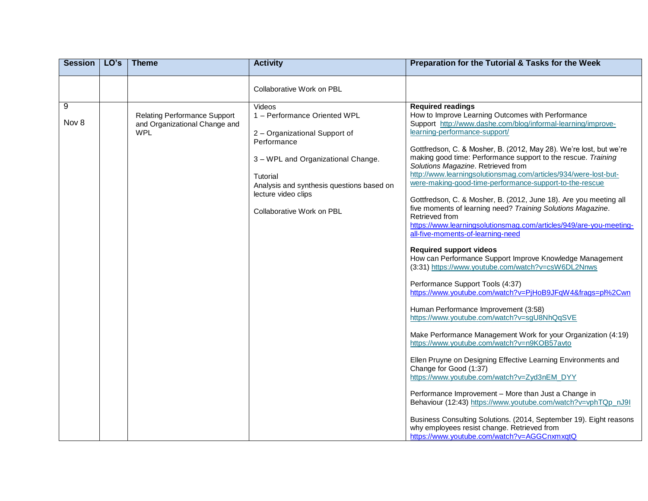| <b>Session</b> | LO's | <b>Theme</b>                                                                       | <b>Activity</b>                                                                                                                                                                                                                           | Preparation for the Tutorial & Tasks for the Week                                                                                                                                                                                                                                                                                                                                                                                                                                                                                                                                                                                                                                                                                                                                                                                                                                                                                                                                                                                                                                                                                                                                                                                                                                                                                                                                                                                                                                                                                                                                                                                                             |
|----------------|------|------------------------------------------------------------------------------------|-------------------------------------------------------------------------------------------------------------------------------------------------------------------------------------------------------------------------------------------|---------------------------------------------------------------------------------------------------------------------------------------------------------------------------------------------------------------------------------------------------------------------------------------------------------------------------------------------------------------------------------------------------------------------------------------------------------------------------------------------------------------------------------------------------------------------------------------------------------------------------------------------------------------------------------------------------------------------------------------------------------------------------------------------------------------------------------------------------------------------------------------------------------------------------------------------------------------------------------------------------------------------------------------------------------------------------------------------------------------------------------------------------------------------------------------------------------------------------------------------------------------------------------------------------------------------------------------------------------------------------------------------------------------------------------------------------------------------------------------------------------------------------------------------------------------------------------------------------------------------------------------------------------------|
|                |      |                                                                                    | Collaborative Work on PBL                                                                                                                                                                                                                 |                                                                                                                                                                                                                                                                                                                                                                                                                                                                                                                                                                                                                                                                                                                                                                                                                                                                                                                                                                                                                                                                                                                                                                                                                                                                                                                                                                                                                                                                                                                                                                                                                                                               |
| 9<br>Nov 8     |      | <b>Relating Performance Support</b><br>and Organizational Change and<br><b>WPL</b> | Videos<br>1 - Performance Oriented WPL<br>2 - Organizational Support of<br>Performance<br>3 - WPL and Organizational Change.<br>Tutorial<br>Analysis and synthesis questions based on<br>lecture video clips<br>Collaborative Work on PBL | <b>Required readings</b><br>How to Improve Learning Outcomes with Performance<br>Support http://www.dashe.com/blog/informal-learning/improve-<br>learning-performance-support/<br>Gottfredson, C. & Mosher, B. (2012, May 28). We're lost, but we're<br>making good time: Performance support to the rescue. Training<br>Solutions Magazine. Retrieved from<br>http://www.learningsolutionsmag.com/articles/934/were-lost-but-<br>were-making-good-time-performance-support-to-the-rescue<br>Gottfredson, C. & Mosher, B. (2012, June 18). Are you meeting all<br>five moments of learning need? Training Solutions Magazine.<br>Retrieved from<br>https://www.learningsolutionsmag.com/articles/949/are-you-meeting-<br>all-five-moments-of-learning-need<br><b>Required support videos</b><br>How can Performance Support Improve Knowledge Management<br>(3:31) https://www.youtube.com/watch?v=csW6DL2Nnws<br>Performance Support Tools (4:37)<br>https://www.youtube.com/watch?v=PjHoB9JFqW4&frags=pl%2Cwn<br>Human Performance Improvement (3:58)<br>https://www.youtube.com/watch?v=sgU8NhQqSVE<br>Make Performance Management Work for your Organization (4:19)<br>https://www.youtube.com/watch?v=n9KOB57avto<br>Ellen Pruyne on Designing Effective Learning Environments and<br>Change for Good (1:37)<br>https://www.youtube.com/watch?v=Zyd3nEM_DYY<br>Performance Improvement - More than Just a Change in<br>Behaviour (12:43) https://www.youtube.com/watch?v=vphTQp_nJ9l<br>Business Consulting Solutions. (2014, September 19). Eight reasons<br>why employees resist change. Retrieved from<br>https://www.youtube.com/watch?v=AGGCnxmxqtQ |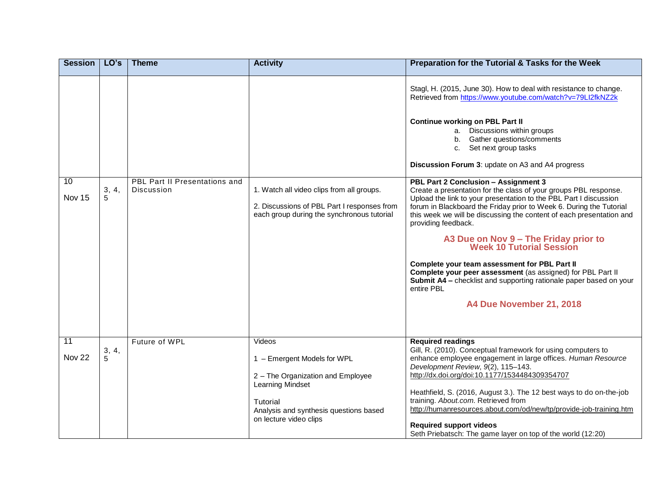| <b>Session</b>            | LO's       | <b>Theme</b>                                       | <b>Activity</b>                                                                                                                        | Preparation for the Tutorial & Tasks for the Week                                                                                                                                                                                                                                                                                                                                                                        |
|---------------------------|------------|----------------------------------------------------|----------------------------------------------------------------------------------------------------------------------------------------|--------------------------------------------------------------------------------------------------------------------------------------------------------------------------------------------------------------------------------------------------------------------------------------------------------------------------------------------------------------------------------------------------------------------------|
|                           |            |                                                    |                                                                                                                                        | Stagl, H. (2015, June 30). How to deal with resistance to change.<br>Retrieved from https://www.youtube.com/watch?v=79Ll2fkNZ2k                                                                                                                                                                                                                                                                                          |
|                           |            |                                                    |                                                                                                                                        | <b>Continue working on PBL Part II</b><br>a. Discussions within groups<br>b. Gather questions/comments<br>c. Set next group tasks<br>Discussion Forum 3: update on A3 and A4 progress                                                                                                                                                                                                                                    |
| 10<br>Nov 15              | 3, 4,<br>5 | <b>PBL Part II Presentations and</b><br>Discussion | 1. Watch all video clips from all groups.<br>2. Discussions of PBL Part I responses from<br>each group during the synchronous tutorial | PBL Part 2 Conclusion - Assignment 3<br>Create a presentation for the class of your groups PBL response.<br>Upload the link to your presentation to the PBL Part I discussion<br>forum in Blackboard the Friday prior to Week 6. During the Tutorial<br>this week we will be discussing the content of each presentation and<br>providing feedback.<br>A3 Due on Nov 9 - The Friday prior to<br>Week 10 Tutorial Session |
|                           |            |                                                    |                                                                                                                                        | Complete your team assessment for PBL Part II<br>Complete your peer assessment (as assigned) for PBL Part II<br>Submit A4 - checklist and supporting rationale paper based on your<br>entire PBL<br>A4 Due November 21, 2018                                                                                                                                                                                             |
| $\overline{11}$<br>Nov 22 | 3, 4, 5    | Future of WPL                                      | Videos<br>1 - Emergent Models for WPL<br>2 - The Organization and Employee                                                             | <b>Required readings</b><br>Gill, R. (2010). Conceptual framework for using computers to<br>enhance employee engagement in large offices. Human Resource<br>Development Review, 9(2), 115-143.<br>http://dx.doi.org/doi:10.1177/1534484309354707                                                                                                                                                                         |
|                           |            |                                                    | Learning Mindset<br>Tutorial<br>Analysis and synthesis questions based<br>on lecture video clips                                       | Heathfield, S. (2016, August 3.). The 12 best ways to do on-the-job<br>training. About.com. Retrieved from<br>http://humanresources.about.com/od/new/tp/provide-job-training.htm<br><b>Required support videos</b><br>Seth Priebatsch: The game layer on top of the world (12:20)                                                                                                                                        |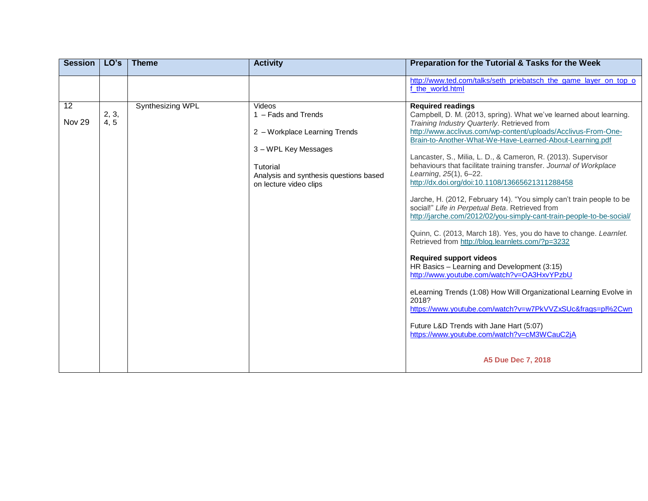| <b>Session</b> | LO's          | <b>Theme</b>     | <b>Activity</b>                                                                                                                                                        | Preparation for the Tutorial & Tasks for the Week                                                                                                                                                                                                                                                                                                                                                                                                                                                                                                                                                                                                                                                                                                                                                                                                                                                                                                                                                                                                                                                                                                                                                                     |
|----------------|---------------|------------------|------------------------------------------------------------------------------------------------------------------------------------------------------------------------|-----------------------------------------------------------------------------------------------------------------------------------------------------------------------------------------------------------------------------------------------------------------------------------------------------------------------------------------------------------------------------------------------------------------------------------------------------------------------------------------------------------------------------------------------------------------------------------------------------------------------------------------------------------------------------------------------------------------------------------------------------------------------------------------------------------------------------------------------------------------------------------------------------------------------------------------------------------------------------------------------------------------------------------------------------------------------------------------------------------------------------------------------------------------------------------------------------------------------|
|                |               |                  |                                                                                                                                                                        | http://www.ted.com/talks/seth_priebatsch_the_game_layer_on_top_o<br>f the world.html                                                                                                                                                                                                                                                                                                                                                                                                                                                                                                                                                                                                                                                                                                                                                                                                                                                                                                                                                                                                                                                                                                                                  |
| 12<br>Nov 29   | 2, 3,<br>4, 5 | Synthesizing WPL | Videos<br>1 - Fads and Trends<br>2 - Workplace Learning Trends<br>3 - WPL Key Messages<br>Tutorial<br>Analysis and synthesis questions based<br>on lecture video clips | <b>Required readings</b><br>Campbell, D. M. (2013, spring). What we've learned about learning.<br>Training Industry Quarterly. Retrieved from<br>http://www.acclivus.com/wp-content/uploads/Acclivus-From-One-<br>Brain-to-Another-What-We-Have-Learned-About-Learning.pdf<br>Lancaster, S., Milia, L. D., & Cameron, R. (2013). Supervisor<br>behaviours that facilitate training transfer. Journal of Workplace<br>Learning, 25(1), 6-22.<br>http://dx.doi.org/doi:10.1108/13665621311288458<br>Jarche, H. (2012, February 14). "You simply can't train people to be<br>social!" Life in Perpetual Beta. Retrieved from<br>http://jarche.com/2012/02/you-simply-cant-train-people-to-be-social/<br>Quinn, C. (2013, March 18). Yes, you do have to change. Learnlet.<br>Retrieved from http://blog.learnlets.com/?p=3232<br><b>Required support videos</b><br>HR Basics - Learning and Development (3:15)<br>http://www.youtube.com/watch?v=OA3HxvYPzbU<br>eLearning Trends (1:08) How Will Organizational Learning Evolve in<br>2018?<br>https://www.youtube.com/watch?v=w7PkVVZxSUc&frags=pl%2Cwn<br>Future L&D Trends with Jane Hart (5:07)<br>https://www.youtube.com/watch?v=cM3WCauC2jA<br>A5 Due Dec 7, 2018 |
|                |               |                  |                                                                                                                                                                        |                                                                                                                                                                                                                                                                                                                                                                                                                                                                                                                                                                                                                                                                                                                                                                                                                                                                                                                                                                                                                                                                                                                                                                                                                       |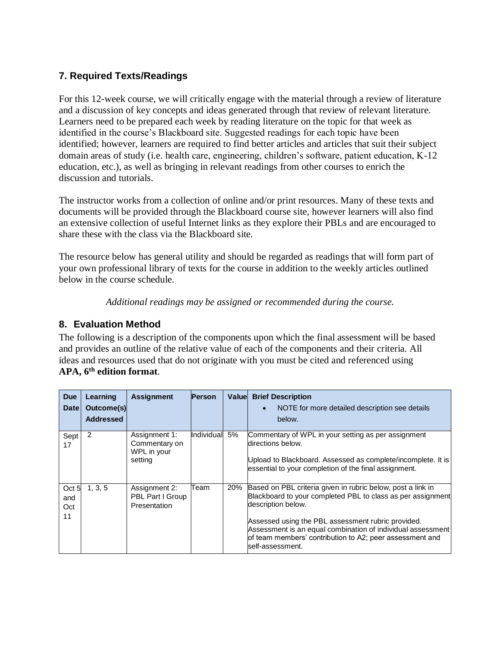# **7. Required Texts/Readings**

For this 12-week course, we will critically engage with the material through a review of literature and a discussion of key concepts and ideas generated through that review of relevant literature. Learners need to be prepared each week by reading literature on the topic for that week as identified in the course's Blackboard site. Suggested readings for each topic have been identified; however, learners are required to find better articles and articles that suit their subject domain areas of study (i.e. health care, engineering, children's software, patient education, K-12 education, etc.), as well as bringing in relevant readings from other courses to enrich the discussion and tutorials.

The instructor works from a collection of online and/or print resources. Many of these texts and documents will be provided through the Blackboard course site, however learners will also find an extensive collection of useful Internet links as they explore their PBLs and are encouraged to share these with the class via the Blackboard site.

The resource below has general utility and should be regarded as readings that will form part of your own professional library of texts for the course in addition to the weekly articles outlined below in the course schedule.

*Additional readings may be assigned or recommended during the course.*

## **8. Evaluation Method**

The following is a description of the components upon which the final assessment will be based and provides an outline of the relative value of each of the components and their criteria. All ideas and resources used that do not originate with you must be cited and referenced using **APA, 6th edition format**.

| <b>Due</b><br><b>Date</b> | Learning<br>Outcome(s)<br><b>Addressed</b> | <b>Assignment</b>                                        | <b>Person</b> | <b>Valuel</b> | <b>Brief Description</b><br>NOTE for more detailed description see details<br>$\bullet$<br>below.                                                                                                                                                                                                                                                     |
|---------------------------|--------------------------------------------|----------------------------------------------------------|---------------|---------------|-------------------------------------------------------------------------------------------------------------------------------------------------------------------------------------------------------------------------------------------------------------------------------------------------------------------------------------------------------|
| Sept<br>17                | $\overline{2}$                             | Assignment 1:<br>Commentary on<br>WPL in your<br>setting | Individual 5% |               | Commentary of WPL in your setting as per assignment<br>directions below.<br>Upload to Blackboard. Assessed as complete/incomplete. It is<br>essential to your completion of the final assignment.                                                                                                                                                     |
| Oct 5<br>and<br>Oct<br>11 | 1, 3, 5                                    | Assignment 2:<br>PBL Part I Group<br>Presentation        | Team          | 20%           | Based on PBL criteria given in rubric below, post a link in<br>Blackboard to your completed PBL to class as per assignment<br>description below.<br>Assessed using the PBL assessment rubric provided.<br>Assessment is an equal combination of individual assessment<br>of team members' contribution to A2; peer assessment and<br>self-assessment. |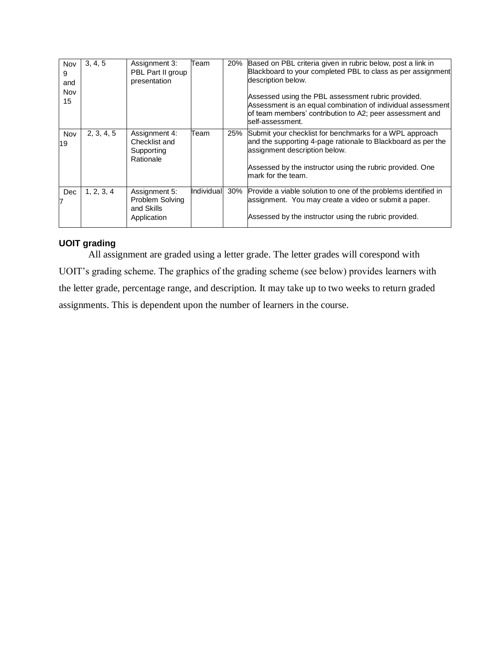| Nov<br>9<br>and<br>Nov<br>15 | 3, 4, 5    | Assignment 3:<br>PBL Part II group<br>presentation                   | Team       | 20% | Based on PBL criteria given in rubric below, post a link in<br>Blackboard to your completed PBL to class as per assignment<br>description below.<br>Assessed using the PBL assessment rubric provided.<br>Assessment is an equal combination of individual assessment<br>of team members' contribution to A2; peer assessment and<br>self-assessment. |
|------------------------------|------------|----------------------------------------------------------------------|------------|-----|-------------------------------------------------------------------------------------------------------------------------------------------------------------------------------------------------------------------------------------------------------------------------------------------------------------------------------------------------------|
| Nov<br>19                    | 2, 3, 4, 5 | Assignment 4:<br>Checklist and<br>Supporting<br>Rationale            | Team       | 25% | Submit your checklist for benchmarks for a WPL approach<br>and the supporting 4-page rationale to Blackboard as per the<br>assignment description below.<br>Assessed by the instructor using the rubric provided. One<br>mark for the team.                                                                                                           |
| Dec<br>7                     | 1, 2, 3, 4 | Assignment 5:<br><b>Problem Solving</b><br>and Skills<br>Application | Individual | 30% | Provide a viable solution to one of the problems identified in<br>assignment. You may create a video or submit a paper.<br>Assessed by the instructor using the rubric provided.                                                                                                                                                                      |

### **UOIT grading**

All assignment are graded using a letter grade. The letter grades will corespond with UOIT's grading scheme. The graphics of the grading scheme (see below) provides learners with the letter grade, percentage range, and description. It may take up to two weeks to return graded assignments. This is dependent upon the number of learners in the course.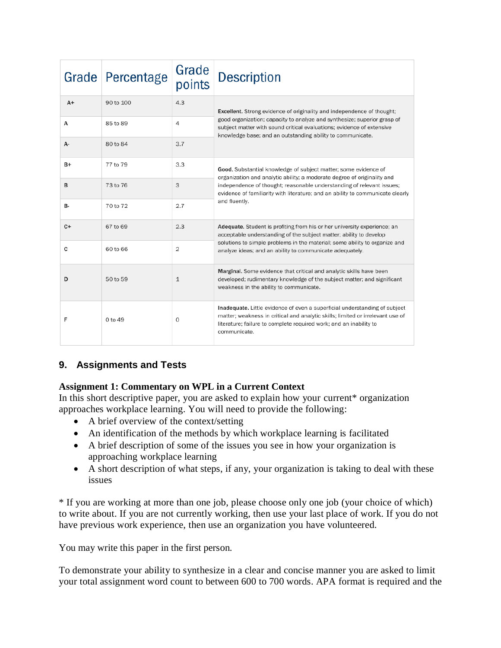| Grade | Percentage | Grade<br>points | <b>Description</b>                                                                                                                                                                                                                                 |
|-------|------------|-----------------|----------------------------------------------------------------------------------------------------------------------------------------------------------------------------------------------------------------------------------------------------|
| $A+$  | 90 to 100  | 4.3             | Excellent. Strong evidence of originality and independence of thought;                                                                                                                                                                             |
| A     | 85 to 89   | 4               | good organization; capacity to analyze and synthesize; superior grasp of<br>subject matter with sound critical evaluations; evidence of extensive<br>knowledge base; and an outstanding ability to communicate.                                    |
| А-    | 80 to 84   | 3.7             |                                                                                                                                                                                                                                                    |
| $B+$  | 77 to 79   | 3.3             | Good. Substantial knowledge of subject matter; some evidence of<br>organization and analytic ability; a moderate degree of originality and                                                                                                         |
| B     | 73 to 76   | 3               | independence of thought; reasonable understanding of relevant issues;<br>evidence of familiarity with literature; and an ability to communicate clearly                                                                                            |
| В-    | 70 to 72   | 2.7             | and fluently.                                                                                                                                                                                                                                      |
| C+    | 67 to 69   | 2.3             | Adequate. Student is profiting from his or her university experience; an<br>acceptable understanding of the subject matter; ability to develop                                                                                                     |
| C     | 60 to 66   | 2               | solutions to simple problems in the material; some ability to organize and<br>analyze ideas; and an ability to communicate adequately.                                                                                                             |
| D     | 50 to 59   | $\mathbf{1}$    | Marginal. Some evidence that critical and analytic skills have been<br>developed; rudimentary knowledge of the subject matter; and significant<br>weakness in the ability to communicate.                                                          |
| F     | 0 to 49    | $\Omega$        | Inadequate. Little evidence of even a superficial understanding of subject<br>matter; weakness in critical and analytic skills; limited or irrelevant use of<br>literature; failure to complete required work; and an inability to<br>communicate. |

## **9. Assignments and Tests**

### **Assignment 1: Commentary on WPL in a Current Context**

In this short descriptive paper, you are asked to explain how your current\* organization approaches workplace learning. You will need to provide the following:

- A brief overview of the context/setting
- An identification of the methods by which workplace learning is facilitated
- A brief description of some of the issues you see in how your organization is approaching workplace learning
- A short description of what steps, if any, your organization is taking to deal with these issues

\* If you are working at more than one job, please choose only one job (your choice of which) to write about. If you are not currently working, then use your last place of work. If you do not have previous work experience, then use an organization you have volunteered.

You may write this paper in the first person.

To demonstrate your ability to synthesize in a clear and concise manner you are asked to limit your total assignment word count to between 600 to 700 words. APA format is required and the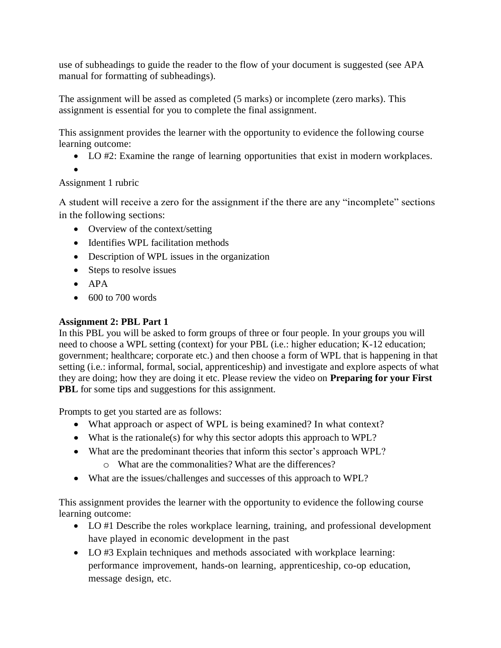use of subheadings to guide the reader to the flow of your document is suggested (see APA manual for formatting of subheadings).

The assignment will be assed as completed (5 marks) or incomplete (zero marks). This assignment is essential for you to complete the final assignment.

This assignment provides the learner with the opportunity to evidence the following course learning outcome:

- LO #2: Examine the range of learning opportunities that exist in modern workplaces.
- •

## Assignment 1 rubric

A student will receive a zero for the assignment if the there are any "incomplete" sections in the following sections:

- Overview of the context/setting
- Identifies WPL facilitation methods
- Description of WPL issues in the organization
- Steps to resolve issues
- APA
- $\bullet$  600 to 700 words

## **Assignment 2: PBL Part 1**

In this PBL you will be asked to form groups of three or four people. In your groups you will need to choose a WPL setting (context) for your PBL (i.e.: higher education; K-12 education; government; healthcare; corporate etc.) and then choose a form of WPL that is happening in that setting (i.e.: informal, formal, social, apprenticeship) and investigate and explore aspects of what they are doing; how they are doing it etc. Please review the video on **Preparing for your First PBL** for some tips and suggestions for this assignment.

Prompts to get you started are as follows:

- What approach or aspect of WPL is being examined? In what context?
- What is the rationale(s) for why this sector adopts this approach to WPL?
- What are the predominant theories that inform this sector's approach WPL?
	- o What are the commonalities? What are the differences?
- What are the issues/challenges and successes of this approach to WPL?

This assignment provides the learner with the opportunity to evidence the following course learning outcome:

- LO #1 Describe the roles workplace learning, training, and professional development have played in economic development in the past
- LO #3 Explain techniques and methods associated with workplace learning: performance improvement, hands-on learning, apprenticeship, co-op education, message design, etc.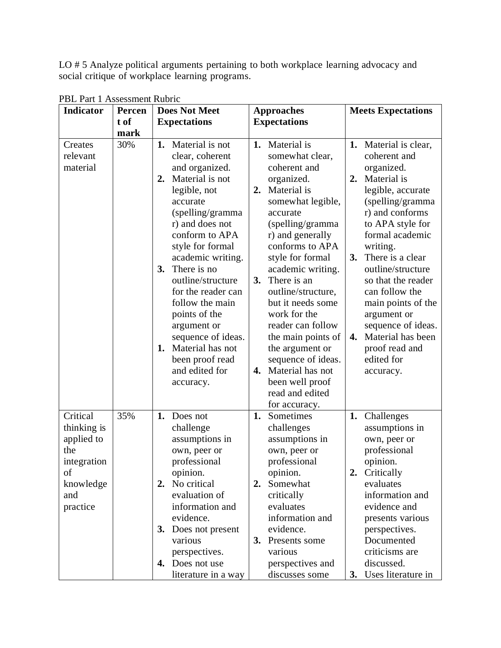LO # 5 Analyze political arguments pertaining to both workplace learning advocacy and social critique of workplace learning programs.

| <b>Indicator</b>             | Percen | <b>Does Not Meet</b>                                                                                                                                                      | <b>Approaches</b> |                                                                                                                                          |    | <b>Meets Expectations</b>                                                                                                                                |
|------------------------------|--------|---------------------------------------------------------------------------------------------------------------------------------------------------------------------------|-------------------|------------------------------------------------------------------------------------------------------------------------------------------|----|----------------------------------------------------------------------------------------------------------------------------------------------------------|
|                              | t of   | <b>Expectations</b>                                                                                                                                                       |                   | <b>Expectations</b>                                                                                                                      |    |                                                                                                                                                          |
|                              | mark   |                                                                                                                                                                           |                   |                                                                                                                                          |    |                                                                                                                                                          |
| Creates                      | 30%    | Material is not<br>1.                                                                                                                                                     |                   | 1. Material is                                                                                                                           |    | 1. Material is clear,                                                                                                                                    |
| relevant                     |        | clear, coherent                                                                                                                                                           |                   | somewhat clear,                                                                                                                          |    | coherent and                                                                                                                                             |
| material                     |        | and organized.                                                                                                                                                            |                   | coherent and                                                                                                                             |    | organized.                                                                                                                                               |
|                              |        | Material is not<br>2.                                                                                                                                                     |                   | organized.                                                                                                                               |    | 2. Material is                                                                                                                                           |
|                              |        | legible, not                                                                                                                                                              | 2.                | Material is                                                                                                                              |    | legible, accurate                                                                                                                                        |
|                              |        | accurate                                                                                                                                                                  |                   | somewhat legible,                                                                                                                        |    | (spelling/gramma                                                                                                                                         |
|                              |        | (spelling/gramma                                                                                                                                                          |                   | accurate                                                                                                                                 |    | r) and conforms                                                                                                                                          |
|                              |        | r) and does not                                                                                                                                                           |                   | (spelling/gramma                                                                                                                         |    | to APA style for                                                                                                                                         |
|                              |        | conform to APA                                                                                                                                                            |                   | r) and generally                                                                                                                         |    | formal academic                                                                                                                                          |
|                              |        | style for formal                                                                                                                                                          |                   | conforms to APA                                                                                                                          |    | writing.                                                                                                                                                 |
|                              |        | academic writing.                                                                                                                                                         |                   | style for formal                                                                                                                         | 3. | There is a clear                                                                                                                                         |
|                              |        | There is no<br>3.                                                                                                                                                         |                   | academic writing.                                                                                                                        |    | outline/structure                                                                                                                                        |
|                              |        | outline/structure                                                                                                                                                         | 3.                | There is an                                                                                                                              |    | so that the reader                                                                                                                                       |
|                              |        | for the reader can                                                                                                                                                        |                   | outline/structure,                                                                                                                       |    | can follow the                                                                                                                                           |
|                              |        | follow the main                                                                                                                                                           |                   | but it needs some                                                                                                                        |    | main points of the                                                                                                                                       |
|                              |        | points of the                                                                                                                                                             |                   | work for the                                                                                                                             |    | argument or                                                                                                                                              |
|                              |        | argument or                                                                                                                                                               |                   | reader can follow                                                                                                                        |    | sequence of ideas.                                                                                                                                       |
|                              |        | sequence of ideas.                                                                                                                                                        |                   | the main points of                                                                                                                       | 4. | Material has been                                                                                                                                        |
|                              |        | Material has not<br>1.                                                                                                                                                    |                   | the argument or                                                                                                                          |    | proof read and                                                                                                                                           |
|                              |        | been proof read                                                                                                                                                           |                   | sequence of ideas.                                                                                                                       |    | edited for                                                                                                                                               |
|                              |        | and edited for                                                                                                                                                            | 4.                | Material has not                                                                                                                         |    | accuracy.                                                                                                                                                |
|                              |        | accuracy.                                                                                                                                                                 |                   | been well proof                                                                                                                          |    |                                                                                                                                                          |
|                              |        |                                                                                                                                                                           |                   | read and edited                                                                                                                          |    |                                                                                                                                                          |
|                              |        |                                                                                                                                                                           |                   | for accuracy.                                                                                                                            |    |                                                                                                                                                          |
| Critical                     | 35%    | Does not<br>1.                                                                                                                                                            | 1.                | Sometimes                                                                                                                                | 1. | Challenges                                                                                                                                               |
| thinking is                  |        | challenge                                                                                                                                                                 |                   | challenges                                                                                                                               |    | assumptions in                                                                                                                                           |
| applied to                   |        | assumptions in                                                                                                                                                            |                   | assumptions in                                                                                                                           |    | own, peer or                                                                                                                                             |
| the                          |        | own, peer or                                                                                                                                                              |                   | own, peer or                                                                                                                             |    | professional                                                                                                                                             |
| integration                  |        | professional                                                                                                                                                              |                   | professional                                                                                                                             |    | opinion.                                                                                                                                                 |
| of                           |        | opinion.                                                                                                                                                                  |                   | opinion.                                                                                                                                 |    | 2. Critically                                                                                                                                            |
|                              |        |                                                                                                                                                                           |                   |                                                                                                                                          |    |                                                                                                                                                          |
|                              |        |                                                                                                                                                                           |                   |                                                                                                                                          |    |                                                                                                                                                          |
|                              |        |                                                                                                                                                                           |                   |                                                                                                                                          |    |                                                                                                                                                          |
|                              |        |                                                                                                                                                                           |                   |                                                                                                                                          |    |                                                                                                                                                          |
|                              |        |                                                                                                                                                                           |                   |                                                                                                                                          |    |                                                                                                                                                          |
|                              |        |                                                                                                                                                                           |                   |                                                                                                                                          |    |                                                                                                                                                          |
|                              |        |                                                                                                                                                                           |                   |                                                                                                                                          |    |                                                                                                                                                          |
|                              |        |                                                                                                                                                                           |                   |                                                                                                                                          |    |                                                                                                                                                          |
|                              |        |                                                                                                                                                                           |                   |                                                                                                                                          |    |                                                                                                                                                          |
| knowledge<br>and<br>practice |        | 2. No critical<br>evaluation of<br>information and<br>evidence.<br>Does not present<br><b>3.</b><br>various<br>perspectives.<br>Does not use<br>4.<br>literature in a way | 2.                | Somewhat<br>critically<br>evaluates<br>information and<br>evidence.<br>3. Presents some<br>various<br>perspectives and<br>discusses some |    | evaluates<br>information and<br>evidence and<br>presents various<br>perspectives.<br>Documented<br>criticisms are<br>discussed.<br>3. Uses literature in |

PBL Part 1 Assessment Rubric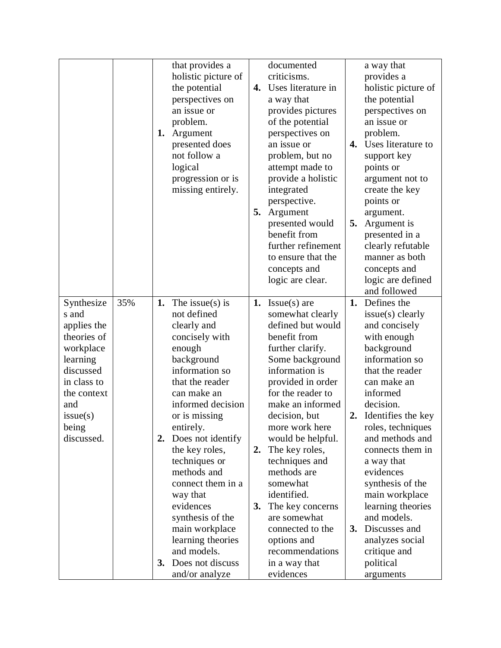|             |     |    | that provides a     |    | documented         |    | a way that            |
|-------------|-----|----|---------------------|----|--------------------|----|-----------------------|
|             |     |    | holistic picture of |    | criticisms.        |    | provides a            |
|             |     |    | the potential       | 4. | Uses literature in |    | holistic picture of   |
|             |     |    | perspectives on     |    | a way that         |    | the potential         |
|             |     |    | an issue or         |    | provides pictures  |    | perspectives on       |
|             |     |    | problem.            |    | of the potential   |    | an issue or           |
|             |     | 1. | Argument            |    | perspectives on    |    | problem.              |
|             |     |    | presented does      |    | an issue or        | 4. | Uses literature to    |
|             |     |    | not follow a        |    | problem, but no    |    | support key           |
|             |     |    | logical             |    | attempt made to    |    | points or             |
|             |     |    | progression or is   |    | provide a holistic |    | argument not to       |
|             |     |    | missing entirely.   |    | integrated         |    | create the key        |
|             |     |    |                     |    | perspective.       |    | points or             |
|             |     |    |                     | 5. | Argument           |    | argument.             |
|             |     |    |                     |    | presented would    | 5. | Argument is           |
|             |     |    |                     |    | benefit from       |    | presented in a        |
|             |     |    |                     |    | further refinement |    | clearly refutable     |
|             |     |    |                     |    | to ensure that the |    | manner as both        |
|             |     |    |                     |    | concepts and       |    | concepts and          |
|             |     |    |                     |    | logic are clear.   |    | logic are defined     |
|             |     |    |                     |    |                    |    | and followed          |
| Synthesize  | 35% | 1. | The issue(s) is     |    | 1. Issue(s) are    | 1. | Defines the           |
| s and       |     |    | not defined         |    | somewhat clearly   |    | issue(s) clearly      |
| applies the |     |    | clearly and         |    | defined but would  |    | and concisely         |
| theories of |     |    | concisely with      |    | benefit from       |    | with enough           |
| workplace   |     |    | enough              |    | further clarify.   |    | background            |
| learning    |     |    | background          |    | Some background    |    | information so        |
| discussed   |     |    | information so      |    | information is     |    | that the reader       |
| in class to |     |    | that the reader     |    | provided in order  |    | can make an           |
| the context |     |    | can make an         |    | for the reader to  |    | informed              |
| and         |     |    | informed decision   |    | make an informed   |    | decision.             |
| issue(s)    |     |    | or is missing       |    | decision, but      |    | 2. Identifies the key |
| being       |     |    | entirely.           |    | more work here     |    | roles, techniques     |
| discussed.  |     | 2. | Does not identify   |    | would be helpful.  |    | and methods and       |
|             |     |    | the key roles,      | 2. | The key roles,     |    | connects them in      |
|             |     |    | techniques or       |    | techniques and     |    | a way that            |
|             |     |    | methods and         |    | methods are        |    | evidences             |
|             |     |    | connect them in a   |    | somewhat           |    | synthesis of the      |
|             |     |    | way that            |    | identified.        |    | main workplace        |
|             |     |    | evidences           | 3. | The key concerns   |    | learning theories     |
|             |     |    | synthesis of the    |    | are somewhat       |    | and models.           |
|             |     |    | main workplace      |    | connected to the   |    | 3. Discusses and      |
|             |     |    | learning theories   |    | options and        |    | analyzes social       |
|             |     |    | and models.         |    | recommendations    |    | critique and          |
|             |     | 3. | Does not discuss    |    | in a way that      |    | political             |
|             |     |    | and/or analyze      |    | evidences          |    | arguments             |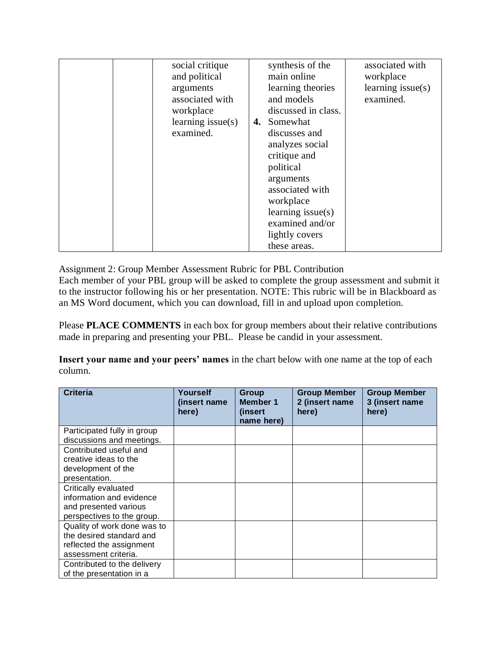| social critique      | synthesis of the     | associated with      |
|----------------------|----------------------|----------------------|
| and political        | main online          | workplace            |
| arguments            | learning theories    | learning issue $(s)$ |
| associated with      | and models           | examined.            |
| workplace            | discussed in class.  |                      |
| learning issue $(s)$ | 4. Somewhat          |                      |
| examined.            | discusses and        |                      |
|                      | analyzes social      |                      |
|                      | critique and         |                      |
|                      | political            |                      |
|                      | arguments            |                      |
|                      | associated with      |                      |
|                      | workplace            |                      |
|                      | learning issue $(s)$ |                      |
|                      | examined and/or      |                      |
|                      | lightly covers       |                      |
|                      | these areas.         |                      |

Assignment 2: Group Member Assessment Rubric for PBL Contribution

Each member of your PBL group will be asked to complete the group assessment and submit it to the instructor following his or her presentation. NOTE: This rubric will be in Blackboard as an MS Word document, which you can download, fill in and upload upon completion.

Please **PLACE COMMENTS** in each box for group members about their relative contributions made in preparing and presenting your PBL. Please be candid in your assessment.

**Insert your name and your peers' names** in the chart below with one name at the top of each column.

| <b>Criteria</b>             | <b>Yourself</b><br>(insert name)<br>here) | Group<br>Member 1<br>(insert<br>name here) | <b>Group Member</b><br>2 (insert name<br>here) | <b>Group Member</b><br>3 (insert name<br>here) |
|-----------------------------|-------------------------------------------|--------------------------------------------|------------------------------------------------|------------------------------------------------|
| Participated fully in group |                                           |                                            |                                                |                                                |
| discussions and meetings.   |                                           |                                            |                                                |                                                |
| Contributed useful and      |                                           |                                            |                                                |                                                |
| creative ideas to the       |                                           |                                            |                                                |                                                |
| development of the          |                                           |                                            |                                                |                                                |
| presentation.               |                                           |                                            |                                                |                                                |
| Critically evaluated        |                                           |                                            |                                                |                                                |
| information and evidence    |                                           |                                            |                                                |                                                |
| and presented various       |                                           |                                            |                                                |                                                |
| perspectives to the group.  |                                           |                                            |                                                |                                                |
| Quality of work done was to |                                           |                                            |                                                |                                                |
| the desired standard and    |                                           |                                            |                                                |                                                |
| reflected the assignment    |                                           |                                            |                                                |                                                |
| assessment criteria.        |                                           |                                            |                                                |                                                |
| Contributed to the delivery |                                           |                                            |                                                |                                                |
| of the presentation in a    |                                           |                                            |                                                |                                                |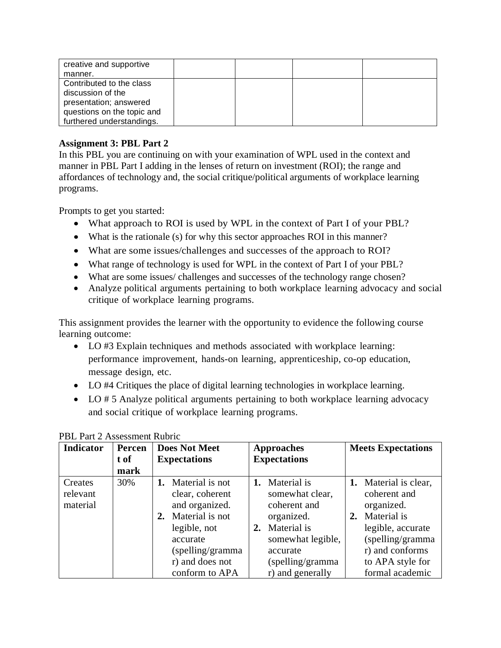| creative and supportive<br>manner.                                                                                                 |  |  |
|------------------------------------------------------------------------------------------------------------------------------------|--|--|
| Contributed to the class<br>discussion of the<br>presentation; answered<br>questions on the topic and<br>furthered understandings. |  |  |

### **Assignment 3: PBL Part 2**

In this PBL you are continuing on with your examination of WPL used in the context and manner in PBL Part I adding in the lenses of return on investment (ROI); the range and affordances of technology and, the social critique/political arguments of workplace learning programs.

Prompts to get you started:

- What approach to ROI is used by WPL in the context of Part I of your PBL?
- What is the rationale (s) for why this sector approaches ROI in this manner?
- What are some issues/challenges and successes of the approach to ROI?
- What range of technology is used for WPL in the context of Part I of your PBL?
- What are some issues/ challenges and successes of the technology range chosen?
- Analyze political arguments pertaining to both workplace learning advocacy and social critique of workplace learning programs.

This assignment provides the learner with the opportunity to evidence the following course learning outcome:

- LO #3 Explain techniques and methods associated with workplace learning: performance improvement, hands-on learning, apprenticeship, co-op education, message design, etc.
- LO #4 Critiques the place of digital learning technologies in workplace learning.
- LO # 5 Analyze political arguments pertaining to both workplace learning advocacy and social critique of workplace learning programs.

| <b>Indicator</b>                | Percen<br>t of | <b>Does Not Meet</b><br><b>Expectations</b>                                                                                                                           | <b>Approaches</b><br><b>Expectations</b>                                                                                                                         | <b>Meets Expectations</b>                                                                                                                                                |
|---------------------------------|----------------|-----------------------------------------------------------------------------------------------------------------------------------------------------------------------|------------------------------------------------------------------------------------------------------------------------------------------------------------------|--------------------------------------------------------------------------------------------------------------------------------------------------------------------------|
|                                 | mark           |                                                                                                                                                                       |                                                                                                                                                                  |                                                                                                                                                                          |
| Creates<br>relevant<br>material | 30%            | 1. Material is not<br>clear, coherent<br>and organized.<br>Material is not<br>2.<br>legible, not<br>accurate<br>(spelling/gramma<br>r) and does not<br>conform to APA | Material is<br>1.<br>somewhat clear,<br>coherent and<br>organized.<br>Material is<br>2.<br>somewhat legible,<br>accurate<br>(spelling/gramma<br>r) and generally | 1. Material is clear,<br>coherent and<br>organized.<br>2. Material is<br>legible, accurate<br>(spelling/gramma<br>r) and conforms<br>to APA style for<br>formal academic |

| <b>PBL Part 2 Assessment Rubric</b> |  |
|-------------------------------------|--|
|-------------------------------------|--|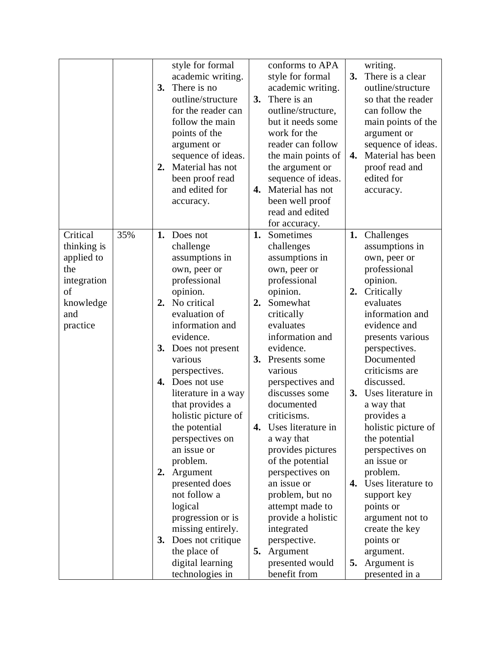|                                        |     | 3.<br>2.  | style for formal<br>academic writing.<br>There is no<br>outline/structure<br>for the reader can<br>follow the main<br>points of the<br>argument or<br>sequence of ideas.<br>Material has not<br>been proof read<br>and edited for<br>accuracy. | 3.<br>4. | conforms to APA<br>style for formal<br>academic writing.<br>There is an<br>outline/structure,<br>but it needs some<br>work for the<br>reader can follow<br>the main points of<br>the argument or<br>sequence of ideas.<br>Material has not<br>been well proof | 3.<br>4. | writing.<br>There is a clear<br>outline/structure<br>so that the reader<br>can follow the<br>main points of the<br>argument or<br>sequence of ideas.<br>Material has been<br>proof read and<br>edited for<br>accuracy. |
|----------------------------------------|-----|-----------|------------------------------------------------------------------------------------------------------------------------------------------------------------------------------------------------------------------------------------------------|----------|---------------------------------------------------------------------------------------------------------------------------------------------------------------------------------------------------------------------------------------------------------------|----------|------------------------------------------------------------------------------------------------------------------------------------------------------------------------------------------------------------------------|
|                                        |     |           |                                                                                                                                                                                                                                                |          | read and edited                                                                                                                                                                                                                                               |          |                                                                                                                                                                                                                        |
| Critical<br>thinking is                | 35% | 1.        | Does not<br>challenge                                                                                                                                                                                                                          | 1.       | for accuracy.<br>Sometimes<br>challenges                                                                                                                                                                                                                      | 1.       | Challenges<br>assumptions in                                                                                                                                                                                           |
| applied to<br>the<br>integration<br>of |     |           | assumptions in<br>own, peer or<br>professional<br>opinion.                                                                                                                                                                                     |          | assumptions in<br>own, peer or<br>professional<br>opinion.                                                                                                                                                                                                    | 2.       | own, peer or<br>professional<br>opinion.<br>Critically                                                                                                                                                                 |
| knowledge<br>and<br>practice           |     | 2.        | No critical<br>evaluation of<br>information and<br>evidence.                                                                                                                                                                                   | 2.       | Somewhat<br>critically<br>evaluates<br>information and                                                                                                                                                                                                        |          | evaluates<br>information and<br>evidence and<br>presents various                                                                                                                                                       |
|                                        |     | 3.<br>4.  | Does not present<br>various<br>perspectives.<br>Does not use                                                                                                                                                                                   |          | evidence.<br>3. Presents some<br>various<br>perspectives and                                                                                                                                                                                                  |          | perspectives.<br>Documented<br>criticisms are<br>discussed.                                                                                                                                                            |
|                                        |     |           | literature in a way<br>that provides a<br>holistic picture of                                                                                                                                                                                  |          | discusses some<br>documented<br>criticisms.                                                                                                                                                                                                                   | 3.       | Uses literature in<br>a way that<br>provides a                                                                                                                                                                         |
|                                        |     |           | the potential<br>perspectives on<br>an issue or<br>problem.                                                                                                                                                                                    | 4.       | Uses literature in<br>a way that<br>provides pictures<br>of the potential                                                                                                                                                                                     |          | holistic picture of<br>the potential<br>perspectives on<br>an issue or                                                                                                                                                 |
|                                        |     | 2.        | Argument<br>presented does<br>not follow a                                                                                                                                                                                                     |          | perspectives on<br>an issue or<br>problem, but no                                                                                                                                                                                                             | 4.       | problem.<br>Uses literature to<br>support key                                                                                                                                                                          |
|                                        |     | <b>3.</b> | logical<br>progression or is<br>missing entirely.<br>Does not critique                                                                                                                                                                         |          | attempt made to<br>provide a holistic<br>integrated<br>perspective.                                                                                                                                                                                           |          | points or<br>argument not to<br>create the key<br>points or                                                                                                                                                            |
|                                        |     |           | the place of<br>digital learning<br>technologies in                                                                                                                                                                                            | 5.       | Argument<br>presented would<br>benefit from                                                                                                                                                                                                                   | 5.       | argument.<br>Argument is<br>presented in a                                                                                                                                                                             |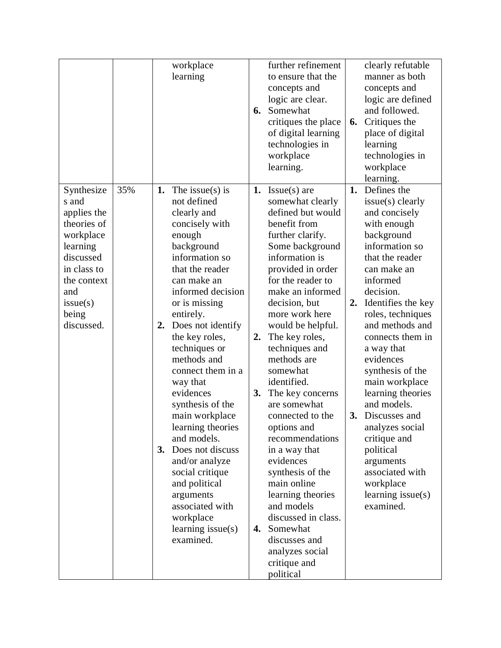| logic are clear.<br>Somewhat<br>6.                                                                                                                                                                                                                                                                                                                                                                                                                                                                                                                                                                                                | concepts and<br>logic are defined<br>and followed.<br>Critiques the<br>6.                                                                                                                                                                                                                                                                                                                                                                                                                                             |
|-----------------------------------------------------------------------------------------------------------------------------------------------------------------------------------------------------------------------------------------------------------------------------------------------------------------------------------------------------------------------------------------------------------------------------------------------------------------------------------------------------------------------------------------------------------------------------------------------------------------------------------|-----------------------------------------------------------------------------------------------------------------------------------------------------------------------------------------------------------------------------------------------------------------------------------------------------------------------------------------------------------------------------------------------------------------------------------------------------------------------------------------------------------------------|
| of digital learning<br>technologies in<br>workplace<br>learning.                                                                                                                                                                                                                                                                                                                                                                                                                                                                                                                                                                  | place of digital<br>learning<br>technologies in<br>workplace<br>learning.                                                                                                                                                                                                                                                                                                                                                                                                                                             |
| $Issue(s)$ are<br>1.<br>somewhat clearly<br>defined but would<br>benefit from<br>further clarify.<br>Some background<br>information is<br>provided in order<br>for the reader to<br>make an informed<br>decision, but<br>more work here<br>would be helpful.<br>The key roles,<br>2.<br>techniques and<br>methods are<br>somewhat<br>identified.<br>The key concerns<br>3.<br>are somewhat<br>connected to the<br>options and<br>recommendations<br>in a way that<br>evidences<br>synthesis of the<br>main online<br>learning theories<br>and models<br>discussed in class.<br>Somewhat<br>4.<br>discusses and<br>analyzes social | Defines the<br>1.<br>issue(s) clearly<br>and concisely<br>with enough<br>background<br>information so<br>that the reader<br>can make an<br>informed<br>decision.<br>Identifies the key<br>2.<br>roles, techniques<br>and methods and<br>connects them in<br>a way that<br>evidences<br>synthesis of the<br>main workplace<br>learning theories<br>and models.<br>Discusses and<br>3.<br>analyzes social<br>critique and<br>political<br>arguments<br>associated with<br>workplace<br>learning $issue(s)$<br>examined. |
|                                                                                                                                                                                                                                                                                                                                                                                                                                                                                                                                                                                                                                   | critiques the place<br>critique and<br>political                                                                                                                                                                                                                                                                                                                                                                                                                                                                      |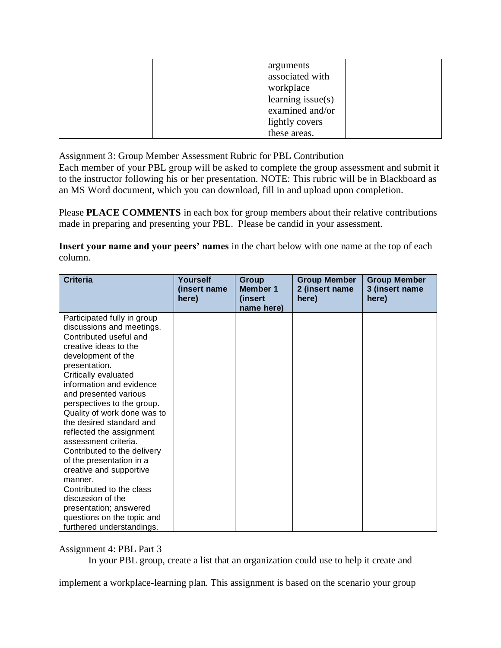| arguments<br>associated with<br>workplace<br>learning $issue(s)$<br>examined and/or |  |
|-------------------------------------------------------------------------------------|--|
| lightly covers                                                                      |  |
| these areas.                                                                        |  |

Assignment 3: Group Member Assessment Rubric for PBL Contribution

Each member of your PBL group will be asked to complete the group assessment and submit it to the instructor following his or her presentation. NOTE: This rubric will be in Blackboard as an MS Word document, which you can download, fill in and upload upon completion.

Please **PLACE COMMENTS** in each box for group members about their relative contributions made in preparing and presenting your PBL. Please be candid in your assessment.

**Insert your name and your peers' names** in the chart below with one name at the top of each column.

| <b>Criteria</b>                                                                                                                    | Yourself<br>(insert name<br>here) | <b>Group</b><br><b>Member 1</b><br>(insert<br>name here) | <b>Group Member</b><br>2 (insert name<br>here) | <b>Group Member</b><br>3 (insert name<br>here) |
|------------------------------------------------------------------------------------------------------------------------------------|-----------------------------------|----------------------------------------------------------|------------------------------------------------|------------------------------------------------|
| Participated fully in group<br>discussions and meetings.                                                                           |                                   |                                                          |                                                |                                                |
| Contributed useful and<br>creative ideas to the<br>development of the<br>presentation.                                             |                                   |                                                          |                                                |                                                |
| Critically evaluated<br>information and evidence<br>and presented various<br>perspectives to the group.                            |                                   |                                                          |                                                |                                                |
| Quality of work done was to<br>the desired standard and<br>reflected the assignment<br>assessment criteria.                        |                                   |                                                          |                                                |                                                |
| Contributed to the delivery<br>of the presentation in a<br>creative and supportive<br>manner.                                      |                                   |                                                          |                                                |                                                |
| Contributed to the class<br>discussion of the<br>presentation; answered<br>questions on the topic and<br>furthered understandings. |                                   |                                                          |                                                |                                                |

Assignment 4: PBL Part 3

In your PBL group, create a list that an organization could use to help it create and

implement a workplace-learning plan. This assignment is based on the scenario your group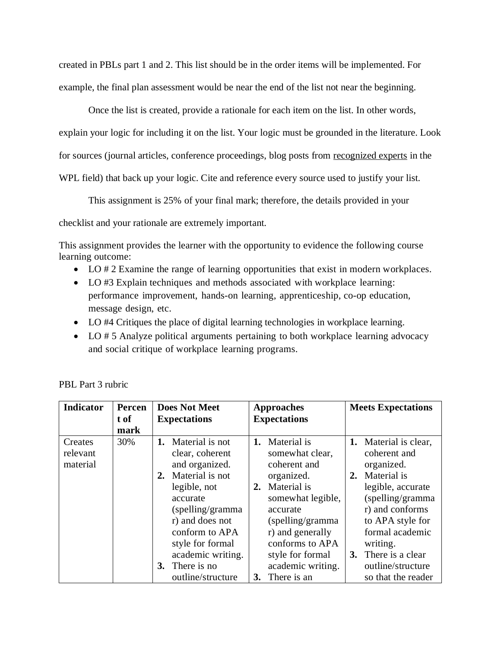created in PBLs part 1 and 2. This list should be in the order items will be implemented. For example, the final plan assessment would be near the end of the list not near the beginning.

Once the list is created, provide a rationale for each item on the list. In other words, explain your logic for including it on the list. Your logic must be grounded in the literature. Look for sources (journal articles, conference proceedings, blog posts from recognized experts in the WPL field) that back up your logic. Cite and reference every source used to justify your list.

This assignment is 25% of your final mark; therefore, the details provided in your

checklist and your rationale are extremely important.

This assignment provides the learner with the opportunity to evidence the following course learning outcome:

- LO # 2 Examine the range of learning opportunities that exist in modern workplaces.
- LO #3 Explain techniques and methods associated with workplace learning: performance improvement, hands-on learning, apprenticeship, co-op education, message design, etc.
- LO #4 Critiques the place of digital learning technologies in workplace learning.
- LO # 5 Analyze political arguments pertaining to both workplace learning advocacy and social critique of workplace learning programs.

| <b>Indicator</b>                | Percen<br>t of<br>mark | <b>Does Not Meet</b><br><b>Expectations</b>                                                                                                                                                                                          | <b>Approaches</b><br><b>Expectations</b>                                                                                                                                                                                      | <b>Meets Expectations</b>                                                                                                                                                                                                           |
|---------------------------------|------------------------|--------------------------------------------------------------------------------------------------------------------------------------------------------------------------------------------------------------------------------------|-------------------------------------------------------------------------------------------------------------------------------------------------------------------------------------------------------------------------------|-------------------------------------------------------------------------------------------------------------------------------------------------------------------------------------------------------------------------------------|
| Creates<br>relevant<br>material | 30%                    | Material is not<br>1.<br>clear, coherent<br>and organized.<br>2. Material is not<br>legible, not<br>accurate<br>(spelling/gramma)<br>r) and does not<br>conform to APA<br>style for formal<br>academic writing.<br>There is no<br>3. | Material is<br>1.<br>somewhat clear,<br>coherent and<br>organized.<br>Material is<br>2.<br>somewhat legible,<br>accurate<br>(spelling/gramma)<br>r) and generally<br>conforms to APA<br>style for formal<br>academic writing. | 1. Material is clear,<br>coherent and<br>organized.<br>Material is<br>2.<br>legible, accurate<br>(spelling/gramma<br>r) and conforms<br>to APA style for<br>formal academic<br>writing.<br>3. There is a clear<br>outline/structure |
|                                 |                        | outline/structure                                                                                                                                                                                                                    | There is an<br>3.                                                                                                                                                                                                             | so that the reader                                                                                                                                                                                                                  |

PBL Part 3 rubric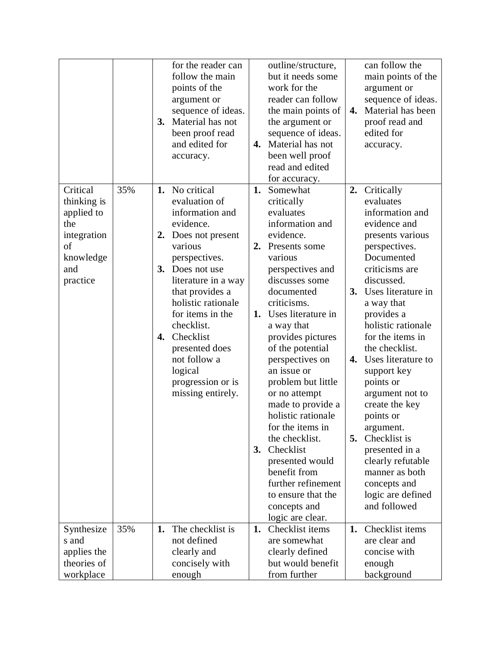|                                                                                                   |     | for the reader can<br>follow the main<br>points of the<br>argument or<br>sequence of ideas.<br>Material has not<br>3.<br>been proof read<br>and edited for<br>accuracy.                                                                                                                                                                                    | 4.                   | outline/structure,<br>but it needs some<br>work for the<br>reader can follow<br>the main points of<br>the argument or<br>sequence of ideas.<br>Material has not<br>been well proof<br>read and edited<br>for accuracy.                                                                                                                                                                                                                                                                                                | 4.             | can follow the<br>main points of the<br>argument or<br>sequence of ideas.<br>Material has been<br>proof read and<br>edited for<br>accuracy.                                                                                                                                                                                                                                                                                                                                                                   |
|---------------------------------------------------------------------------------------------------|-----|------------------------------------------------------------------------------------------------------------------------------------------------------------------------------------------------------------------------------------------------------------------------------------------------------------------------------------------------------------|----------------------|-----------------------------------------------------------------------------------------------------------------------------------------------------------------------------------------------------------------------------------------------------------------------------------------------------------------------------------------------------------------------------------------------------------------------------------------------------------------------------------------------------------------------|----------------|---------------------------------------------------------------------------------------------------------------------------------------------------------------------------------------------------------------------------------------------------------------------------------------------------------------------------------------------------------------------------------------------------------------------------------------------------------------------------------------------------------------|
| Critical<br>thinking is<br>applied to<br>the<br>integration<br>of<br>knowledge<br>and<br>practice | 35% | No critical<br>1.<br>evaluation of<br>information and<br>evidence.<br>Does not present<br>2.<br>various<br>perspectives.<br>Does not use<br>3.<br>literature in a way<br>that provides a<br>holistic rationale<br>for items in the<br>checklist.<br>Checklist<br>4.<br>presented does<br>not follow a<br>logical<br>progression or is<br>missing entirely. | 1.<br>2.<br>1.<br>3. | Somewhat<br>critically<br>evaluates<br>information and<br>evidence.<br>Presents some<br>various<br>perspectives and<br>discusses some<br>documented<br>criticisms.<br>Uses literature in<br>a way that<br>provides pictures<br>of the potential<br>perspectives on<br>an issue or<br>problem but little<br>or no attempt<br>made to provide a<br>holistic rationale<br>for the items in<br>the checklist.<br>Checklist<br>presented would<br>benefit from<br>further refinement<br>to ensure that the<br>concepts and | 2.<br>4.<br>5. | Critically<br>evaluates<br>information and<br>evidence and<br>presents various<br>perspectives.<br>Documented<br>criticisms are<br>discussed.<br>3. Uses literature in<br>a way that<br>provides a<br>holistic rationale<br>for the items in<br>the checklist.<br>Uses literature to<br>support key<br>points or<br>argument not to<br>create the key<br>points or<br>argument.<br>Checklist is<br>presented in a<br>clearly refutable<br>manner as both<br>concepts and<br>logic are defined<br>and followed |
| Synthesize<br>s and<br>applies the<br>theories of<br>workplace                                    | 35% | The checklist is<br>1.<br>not defined<br>clearly and<br>concisely with<br>enough                                                                                                                                                                                                                                                                           | 1.                   | logic are clear.<br>Checklist items<br>are somewhat<br>clearly defined<br>but would benefit<br>from further                                                                                                                                                                                                                                                                                                                                                                                                           | 1.             | Checklist items<br>are clear and<br>concise with<br>enough<br>background                                                                                                                                                                                                                                                                                                                                                                                                                                      |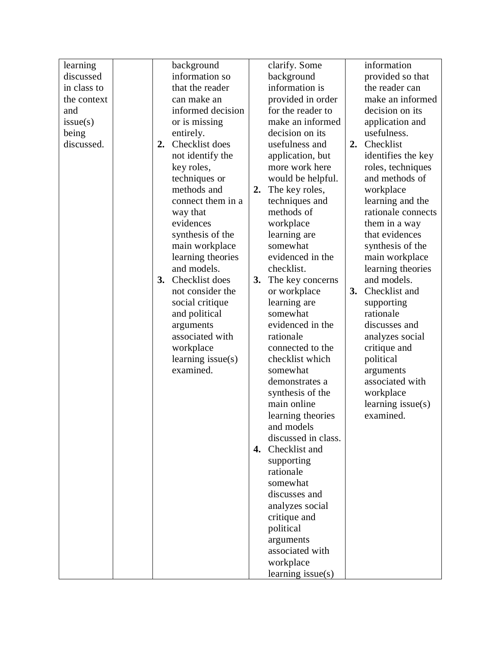| learning            |    | background                   |    | clarify. Some       |    | information                         |
|---------------------|----|------------------------------|----|---------------------|----|-------------------------------------|
| discussed           |    | information so               |    | background          |    | provided so that                    |
| in class to         |    | that the reader              |    | information is      |    | the reader can                      |
| the context         |    | can make an                  |    | provided in order   |    | make an informed                    |
| and                 |    | informed decision            |    | for the reader to   |    | decision on its                     |
| issue(s)            |    | or is missing                |    | make an informed    |    | application and                     |
|                     |    |                              |    | decision on its     |    | usefulness.                         |
| being<br>discussed. | 2. | entirely.<br>Checklist does  |    | usefulness and      |    | 2. Checklist                        |
|                     |    |                              |    | application, but    |    | identifies the key                  |
|                     |    | not identify the             |    | more work here      |    |                                     |
|                     |    | key roles,                   |    |                     |    | roles, techniques<br>and methods of |
|                     |    | techniques or<br>methods and |    | would be helpful.   |    |                                     |
|                     |    |                              | 2. | The key roles,      |    | workplace                           |
|                     |    | connect them in a            |    | techniques and      |    | learning and the                    |
|                     |    | way that                     |    | methods of          |    | rationale connects                  |
|                     |    | evidences                    |    | workplace           |    | them in a way                       |
|                     |    | synthesis of the             |    | learning are        |    | that evidences                      |
|                     |    | main workplace               |    | somewhat            |    | synthesis of the                    |
|                     |    | learning theories            |    | evidenced in the    |    | main workplace                      |
|                     |    | and models.                  |    | checklist.          |    | learning theories                   |
|                     | 3. | Checklist does               | 3. | The key concerns    |    | and models.                         |
|                     |    | not consider the             |    | or workplace        | 3. | Checklist and                       |
|                     |    | social critique              |    | learning are        |    | supporting                          |
|                     |    | and political                |    | somewhat            |    | rationale                           |
|                     |    | arguments                    |    | evidenced in the    |    | discusses and                       |
|                     |    | associated with              |    | rationale           |    | analyzes social                     |
|                     |    | workplace                    |    | connected to the    |    | critique and                        |
|                     |    | learning $issue(s)$          |    | checklist which     |    | political                           |
|                     |    | examined.                    |    | somewhat            |    | arguments                           |
|                     |    |                              |    | demonstrates a      |    | associated with                     |
|                     |    |                              |    | synthesis of the    |    | workplace                           |
|                     |    |                              |    | main online         |    | learning issue(s)                   |
|                     |    |                              |    | learning theories   |    | examined.                           |
|                     |    |                              |    | and models          |    |                                     |
|                     |    |                              |    | discussed in class. |    |                                     |
|                     |    |                              | 4. | Checklist and       |    |                                     |
|                     |    |                              |    | supporting          |    |                                     |
|                     |    |                              |    | rationale           |    |                                     |
|                     |    |                              |    | somewhat            |    |                                     |
|                     |    |                              |    | discusses and       |    |                                     |
|                     |    |                              |    | analyzes social     |    |                                     |
|                     |    |                              |    | critique and        |    |                                     |
|                     |    |                              |    | political           |    |                                     |
|                     |    |                              |    | arguments           |    |                                     |
|                     |    |                              |    | associated with     |    |                                     |
|                     |    |                              |    | workplace           |    |                                     |
|                     |    |                              |    | learning $issue(s)$ |    |                                     |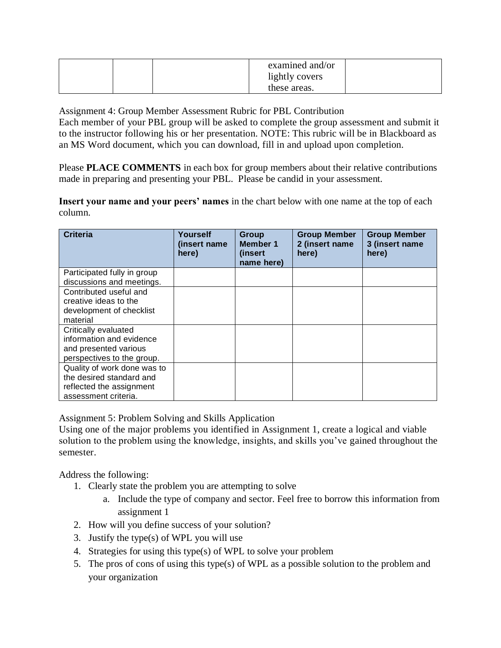|  | examined and/or |  |
|--|-----------------|--|
|  | lightly covers  |  |
|  | these areas.    |  |

Assignment 4: Group Member Assessment Rubric for PBL Contribution

Each member of your PBL group will be asked to complete the group assessment and submit it to the instructor following his or her presentation. NOTE: This rubric will be in Blackboard as an MS Word document, which you can download, fill in and upload upon completion.

Please **PLACE COMMENTS** in each box for group members about their relative contributions made in preparing and presenting your PBL. Please be candid in your assessment.

**Insert your name and your peers' names** in the chart below with one name at the top of each column.

| <b>Criteria</b>             | Yourself<br>(insert name<br>here) | <b>Group</b><br><b>Member 1</b><br>(insert)<br>name here) | <b>Group Member</b><br>2 (insert name<br>here) | <b>Group Member</b><br>3 (insert name<br>here) |
|-----------------------------|-----------------------------------|-----------------------------------------------------------|------------------------------------------------|------------------------------------------------|
| Participated fully in group |                                   |                                                           |                                                |                                                |
| discussions and meetings.   |                                   |                                                           |                                                |                                                |
| Contributed useful and      |                                   |                                                           |                                                |                                                |
| creative ideas to the       |                                   |                                                           |                                                |                                                |
| development of checklist    |                                   |                                                           |                                                |                                                |
| material                    |                                   |                                                           |                                                |                                                |
| Critically evaluated        |                                   |                                                           |                                                |                                                |
| information and evidence    |                                   |                                                           |                                                |                                                |
| and presented various       |                                   |                                                           |                                                |                                                |
| perspectives to the group.  |                                   |                                                           |                                                |                                                |
| Quality of work done was to |                                   |                                                           |                                                |                                                |
| the desired standard and    |                                   |                                                           |                                                |                                                |
| reflected the assignment    |                                   |                                                           |                                                |                                                |
| assessment criteria.        |                                   |                                                           |                                                |                                                |

Assignment 5: Problem Solving and Skills Application

Using one of the major problems you identified in Assignment 1, create a logical and viable solution to the problem using the knowledge, insights, and skills you've gained throughout the semester.

Address the following:

- 1. Clearly state the problem you are attempting to solve
	- a. Include the type of company and sector. Feel free to borrow this information from assignment 1
- 2. How will you define success of your solution?
- 3. Justify the type(s) of WPL you will use
- 4. Strategies for using this type(s) of WPL to solve your problem
- 5. The pros of cons of using this type(s) of WPL as a possible solution to the problem and your organization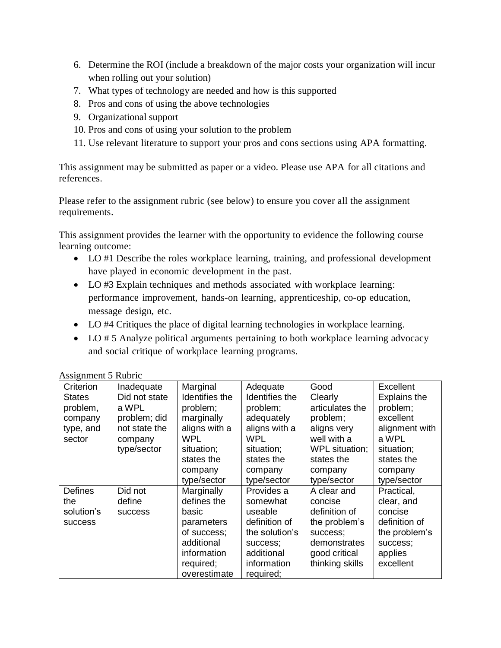- 6. Determine the ROI (include a breakdown of the major costs your organization will incur when rolling out your solution)
- 7. What types of technology are needed and how is this supported
- 8. Pros and cons of using the above technologies
- 9. Organizational support
- 10. Pros and cons of using your solution to the problem
- 11. Use relevant literature to support your pros and cons sections using APA formatting.

This assignment may be submitted as paper or a video. Please use APA for all citations and references.

Please refer to the assignment rubric (see below) to ensure you cover all the assignment requirements.

This assignment provides the learner with the opportunity to evidence the following course learning outcome:

- LO #1 Describe the roles workplace learning, training, and professional development have played in economic development in the past.
- LO #3 Explain techniques and methods associated with workplace learning: performance improvement, hands-on learning, apprenticeship, co-op education, message design, etc.
- LO #4 Critiques the place of digital learning technologies in workplace learning.
- LO # 5 Analyze political arguments pertaining to both workplace learning advocacy and social critique of workplace learning programs.

| Criterion      | Inadequate     | Marginal       | Adequate       | Good            | Excellent           |
|----------------|----------------|----------------|----------------|-----------------|---------------------|
|                |                |                |                |                 |                     |
| <b>States</b>  | Did not state  | Identifies the | Identifies the | Clearly         | <b>Explains the</b> |
| problem,       | a WPL          | problem;       | problem;       | articulates the | problem;            |
| company        | problem; did   | marginally     | adequately     | problem;        | excellent           |
| type, and      | not state the  | aligns with a  | aligns with a  | aligns very     | alignment with      |
| sector         | company        | <b>WPL</b>     | WPL.           | well with a     | a WPL               |
|                | type/sector    | situation;     | situation;     | WPL situation;  | situation;          |
|                |                | states the     | states the     | states the      | states the          |
|                |                | company        | company        | company         | company             |
|                |                | type/sector    | type/sector    | type/sector     | type/sector         |
| <b>Defines</b> | Did not        | Marginally     | Provides a     | A clear and     | Practical,          |
| the            | define         | defines the    | somewhat       | concise         | clear, and          |
| solution's     | <b>SUCCESS</b> | basic          | useable        | definition of   | concise             |
| <b>SUCCESS</b> |                | parameters     | definition of  | the problem's   | definition of       |
|                |                | of success;    | the solution's | success;        | the problem's       |
|                |                | additional     | success;       | demonstrates    | success;            |
|                |                | information    | additional     | good critical   | applies             |
|                |                | required;      | information    | thinking skills | excellent           |
|                |                | overestimate   | required;      |                 |                     |

Assignment 5 Rubric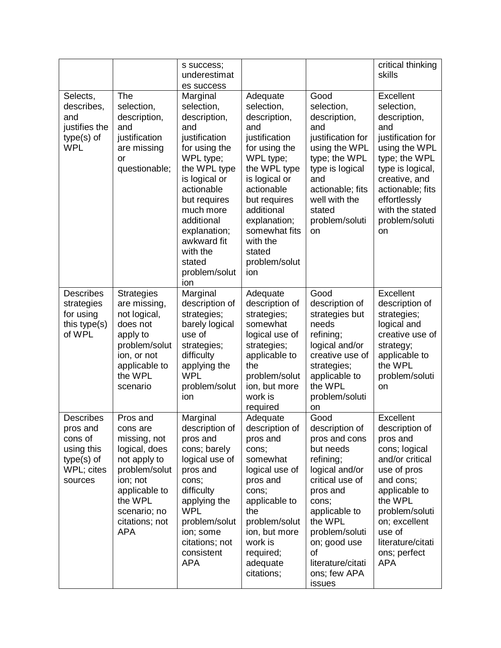|                                                                                              |                                                                                                                                                                                | s success;<br>underestimat<br>es success                                                                                                                                                                                                                            |                                                                                                                                                                                                                                                          |                                                                                                                                                                                                                                                | critical thinking<br>skills                                                                                                                                                                                                         |
|----------------------------------------------------------------------------------------------|--------------------------------------------------------------------------------------------------------------------------------------------------------------------------------|---------------------------------------------------------------------------------------------------------------------------------------------------------------------------------------------------------------------------------------------------------------------|----------------------------------------------------------------------------------------------------------------------------------------------------------------------------------------------------------------------------------------------------------|------------------------------------------------------------------------------------------------------------------------------------------------------------------------------------------------------------------------------------------------|-------------------------------------------------------------------------------------------------------------------------------------------------------------------------------------------------------------------------------------|
| Selects,<br>describes,<br>and<br>justifies the<br>type(s) of<br><b>WPL</b>                   | The<br>selection,<br>description,<br>and<br>justification<br>are missing<br>or<br>questionable;                                                                                | Marginal<br>selection,<br>description,<br>and<br>justification<br>for using the<br>WPL type;<br>the WPL type<br>is logical or<br>actionable<br>but requires<br>much more<br>additional<br>explanation;<br>awkward fit<br>with the<br>stated<br>problem/solut<br>ion | Adequate<br>selection,<br>description,<br>and<br>justification<br>for using the<br>WPL type;<br>the WPL type<br>is logical or<br>actionable<br>but requires<br>additional<br>explanation;<br>somewhat fits<br>with the<br>stated<br>problem/solut<br>ion | Good<br>selection,<br>description,<br>and<br>justification for<br>using the WPL<br>type; the WPL<br>type is logical<br>and<br>actionable; fits<br>well with the<br>stated<br>problem/soluti<br>on                                              | Excellent<br>selection,<br>description,<br>and<br>justification for<br>using the WPL<br>type; the WPL<br>type is logical,<br>creative, and<br>actionable; fits<br>effortlessly<br>with the stated<br>problem/soluti<br>on           |
| <b>Describes</b><br>strategies<br>for using<br>this type(s)<br>of WPL                        | <b>Strategies</b><br>are missing,<br>not logical,<br>does not<br>apply to<br>problem/solut<br>ion, or not<br>applicable to<br>the WPL<br>scenario                              | Marginal<br>description of<br>strategies;<br>barely logical<br>use of<br>strategies;<br>difficulty<br>applying the<br><b>WPL</b><br>problem/solut<br>ion                                                                                                            | Adequate<br>description of<br>strategies;<br>somewhat<br>logical use of<br>strategies;<br>applicable to<br>the<br>problem/solut<br>ion, but more<br>work is<br>required                                                                                  | Good<br>description of<br>strategies but<br>needs<br>refining;<br>logical and/or<br>creative use of<br>strategies;<br>applicable to<br>the WPL<br>problem/soluti<br>on                                                                         | Excellent<br>description of<br>strategies;<br>logical and<br>creative use of<br>strategy;<br>applicable to<br>the WPL<br>problem/soluti<br>on                                                                                       |
| <b>Describes</b><br>pros and<br>cons of<br>using this<br>type(s) of<br>WPL; cites<br>sources | Pros and<br>cons are<br>missing, not<br>logical, does<br>not apply to<br>problem/solut<br>ion; not<br>applicable to<br>the WPL<br>scenario; no<br>citations; not<br><b>APA</b> | Marginal<br>description of<br>pros and<br>cons; barely<br>logical use of<br>pros and<br>cons;<br>difficulty<br>applying the<br><b>WPL</b><br>problem/solut<br>ion; some<br>citations; not<br>consistent<br><b>APA</b>                                               | Adequate<br>description of<br>pros and<br>cons;<br>somewhat<br>logical use of<br>pros and<br>cons;<br>applicable to<br>the<br>problem/solut<br>ion, but more<br>work is<br>required;<br>adequate<br>citations;                                           | Good<br>description of<br>pros and cons<br>but needs<br>refining;<br>logical and/or<br>critical use of<br>pros and<br>cons;<br>applicable to<br>the WPL<br>problem/soluti<br>on; good use<br>of<br>literature/citati<br>ons; few APA<br>issues | Excellent<br>description of<br>pros and<br>cons; logical<br>and/or critical<br>use of pros<br>and cons;<br>applicable to<br>the WPL<br>problem/soluti<br>on; excellent<br>use of<br>literature/citati<br>ons; perfect<br><b>APA</b> |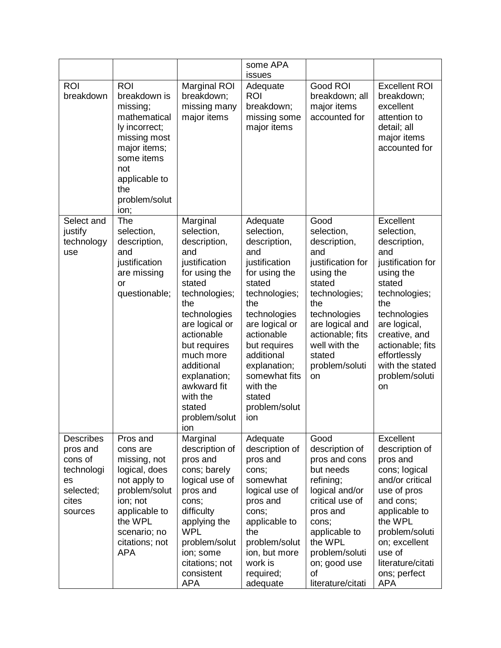|                                                                                              |                                                                                                                                                                                |                                                                                                                                                                                                                                                                                           | some APA<br>issues                                                                                                                                                                                                                                                             |                                                                                                                                                                                                                         |                                                                                                                                                                                                                                                    |
|----------------------------------------------------------------------------------------------|--------------------------------------------------------------------------------------------------------------------------------------------------------------------------------|-------------------------------------------------------------------------------------------------------------------------------------------------------------------------------------------------------------------------------------------------------------------------------------------|--------------------------------------------------------------------------------------------------------------------------------------------------------------------------------------------------------------------------------------------------------------------------------|-------------------------------------------------------------------------------------------------------------------------------------------------------------------------------------------------------------------------|----------------------------------------------------------------------------------------------------------------------------------------------------------------------------------------------------------------------------------------------------|
| <b>ROI</b><br>breakdown                                                                      | <b>ROI</b><br>breakdown is<br>missing;<br>mathematical<br>ly incorrect;<br>missing most<br>major items;<br>some items<br>not<br>applicable to<br>the<br>problem/solut<br>ion;  | <b>Marginal ROI</b><br>breakdown;<br>missing many<br>major items                                                                                                                                                                                                                          | Adequate<br><b>ROI</b><br>breakdown;<br>missing some<br>major items                                                                                                                                                                                                            | Good ROI<br>breakdown; all<br>major items<br>accounted for                                                                                                                                                              | <b>Excellent ROI</b><br>breakdown;<br>excellent<br>attention to<br>detail; all<br>major items<br>accounted for                                                                                                                                     |
| Select and<br>justify<br>technology<br>use                                                   | The<br>selection,<br>description,<br>and<br>justification<br>are missing<br><b>or</b><br>questionable;                                                                         | Marginal<br>selection,<br>description,<br>and<br>justification<br>for using the<br>stated<br>technologies;<br>the<br>technologies<br>are logical or<br>actionable<br>but requires<br>much more<br>additional<br>explanation;<br>awkward fit<br>with the<br>stated<br>problem/solut<br>ion | Adequate<br>selection,<br>description,<br>and<br>justification<br>for using the<br>stated<br>technologies;<br>the<br>technologies<br>are logical or<br>actionable<br>but requires<br>additional<br>explanation;<br>somewhat fits<br>with the<br>stated<br>problem/solut<br>ion | Good<br>selection,<br>description,<br>and<br>justification for<br>using the<br>stated<br>technologies;<br>the<br>technologies<br>are logical and<br>actionable; fits<br>well with the<br>stated<br>problem/soluti<br>on | Excellent<br>selection,<br>description,<br>and<br>justification for<br>using the<br>stated<br>technologies;<br>the<br>technologies<br>are logical,<br>creative, and<br>actionable; fits<br>effortlessly<br>with the stated<br>problem/soluti<br>on |
| <b>Describes</b><br>pros and<br>cons of<br>technologi<br>es<br>selected;<br>cites<br>sources | Pros and<br>cons are<br>missing, not<br>logical, does<br>not apply to<br>problem/solut<br>ion; not<br>applicable to<br>the WPL<br>scenario; no<br>citations; not<br><b>APA</b> | Marginal<br>description of<br>pros and<br>cons; barely<br>logical use of<br>pros and<br>cons;<br>difficulty<br>applying the<br><b>WPL</b><br>problem/solut<br>ion; some<br>citations; not<br>consistent<br><b>APA</b>                                                                     | Adequate<br>description of<br>pros and<br>cons;<br>somewhat<br>logical use of<br>pros and<br>cons:<br>applicable to<br>the<br>problem/solut<br>ion, but more<br>work is<br>required;<br>adequate                                                                               | Good<br>description of<br>pros and cons<br>but needs<br>refining;<br>logical and/or<br>critical use of<br>pros and<br>cons;<br>applicable to<br>the WPL<br>problem/soluti<br>on; good use<br>of<br>literature/citati    | <b>Excellent</b><br>description of<br>pros and<br>cons; logical<br>and/or critical<br>use of pros<br>and cons;<br>applicable to<br>the WPL<br>problem/soluti<br>on; excellent<br>use of<br>literature/citati<br>ons; perfect<br><b>APA</b>         |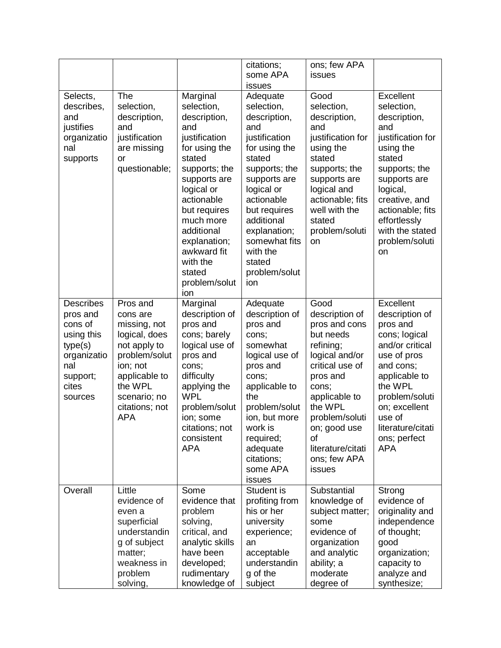|                                                                                                                        |                                                                                                                                                                                |                                                                                                                                                                                                                                                                                | citations;<br>some APA<br>issues                                                                                                                                                                                                                                    | ons; few APA<br>issues                                                                                                                                                                                                                         |                                                                                                                                                                                                                                         |
|------------------------------------------------------------------------------------------------------------------------|--------------------------------------------------------------------------------------------------------------------------------------------------------------------------------|--------------------------------------------------------------------------------------------------------------------------------------------------------------------------------------------------------------------------------------------------------------------------------|---------------------------------------------------------------------------------------------------------------------------------------------------------------------------------------------------------------------------------------------------------------------|------------------------------------------------------------------------------------------------------------------------------------------------------------------------------------------------------------------------------------------------|-----------------------------------------------------------------------------------------------------------------------------------------------------------------------------------------------------------------------------------------|
| Selects,<br>describes,<br>and<br>justifies<br>organizatio<br>nal<br>supports                                           | The<br>selection,<br>description,<br>and<br>justification<br>are missing<br>or<br>questionable;                                                                                | Marginal<br>selection,<br>description,<br>and<br>justification<br>for using the<br>stated<br>supports; the<br>supports are<br>logical or<br>actionable<br>but requires<br>much more<br>additional<br>explanation;<br>awkward fit<br>with the<br>stated<br>problem/solut<br>ion | Adequate<br>selection,<br>description,<br>and<br>justification<br>for using the<br>stated<br>supports; the<br>supports are<br>logical or<br>actionable<br>but requires<br>additional<br>explanation;<br>somewhat fits<br>with the<br>stated<br>problem/solut<br>ion | Good<br>selection,<br>description,<br>and<br>justification for<br>using the<br>stated<br>supports; the<br>supports are<br>logical and<br>actionable; fits<br>well with the<br>stated<br>problem/soluti<br>on                                   | Excellent<br>selection,<br>description,<br>and<br>justification for<br>using the<br>stated<br>supports; the<br>supports are<br>logical,<br>creative, and<br>actionable; fits<br>effortlessly<br>with the stated<br>problem/soluti<br>on |
| <b>Describes</b><br>pros and<br>cons of<br>using this<br>type(s)<br>organizatio<br>nal<br>support;<br>cites<br>sources | Pros and<br>cons are<br>missing, not<br>logical, does<br>not apply to<br>problem/solut<br>ion; not<br>applicable to<br>the WPL<br>scenario; no<br>citations; not<br><b>APA</b> | Marginal<br>description of<br>pros and<br>cons; barely<br>logical use of<br>pros and<br>cons;<br>difficulty<br>applying the<br><b>WPL</b><br>problem/solut<br>ion; some<br>citations; not<br>consistent<br><b>APA</b>                                                          | Adequate<br>description of<br>pros and<br>cons;<br>somewhat<br>logical use of<br>pros and<br>cons;<br>applicable to<br>the<br>problem/solut<br>ion, but more<br>work is<br>required;<br>adequate<br>citations;<br>some APA<br>issues                                | Good<br>description of<br>pros and cons<br>but needs<br>refining;<br>logical and/or<br>critical use of<br>pros and<br>cons;<br>applicable to<br>the WPL<br>problem/soluti<br>on; good use<br>οf<br>literature/citati<br>ons; few APA<br>issues | Excellent<br>description of<br>pros and<br>cons; logical<br>and/or critical<br>use of pros<br>and cons;<br>applicable to<br>the WPL<br>problem/soluti<br>on; excellent<br>use of<br>literature/citati<br>ons; perfect<br><b>APA</b>     |
| Overall                                                                                                                | Little<br>evidence of<br>even a<br>superficial<br>understandin<br>g of subject<br>matter;<br>weakness in<br>problem<br>solving,                                                | Some<br>evidence that<br>problem<br>solving,<br>critical, and<br>analytic skills<br>have been<br>developed;<br>rudimentary<br>knowledge of                                                                                                                                     | Student is<br>profiting from<br>his or her<br>university<br>experience;<br>an<br>acceptable<br>understandin<br>g of the<br>subject                                                                                                                                  | Substantial<br>knowledge of<br>subject matter;<br>some<br>evidence of<br>organization<br>and analytic<br>ability; a<br>moderate<br>degree of                                                                                                   | Strong<br>evidence of<br>originality and<br>independence<br>of thought;<br>good<br>organization;<br>capacity to<br>analyze and<br>synthesize;                                                                                           |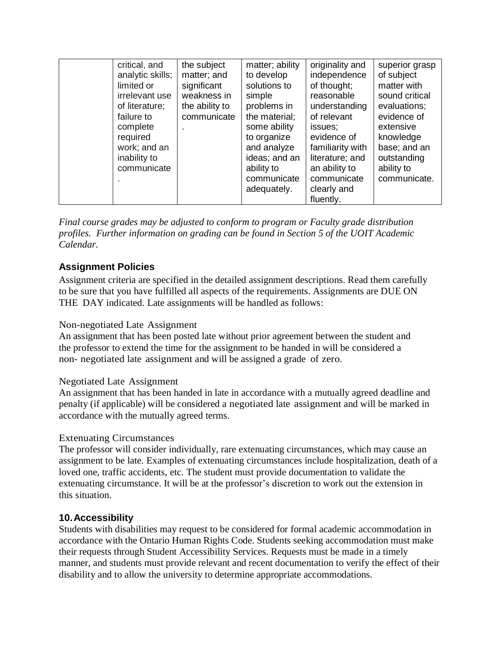| critical, and    | the subject    | matter; ability | originality and  | superior grasp |
|------------------|----------------|-----------------|------------------|----------------|
| analytic skills; | matter; and    | to develop      | independence     | of subject     |
| limited or       | significant    | solutions to    | of thought;      | matter with    |
| irrelevant use   | weakness in    | simple          | reasonable       | sound critical |
| of literature;   | the ability to | problems in     | understanding    | evaluations;   |
| failure to       | communicate    | the material;   | of relevant      | evidence of    |
| complete         |                | some ability    | issues;          | extensive      |
| required         |                | to organize     | evidence of      | knowledge      |
| work; and an     |                | and analyze     | familiarity with | base; and an   |
| inability to     |                | ideas; and an   | literature; and  | outstanding    |
| communicate      |                | ability to      | an ability to    | ability to     |
|                  |                | communicate     | communicate      | communicate.   |
|                  |                | adequately.     | clearly and      |                |
|                  |                |                 | fluently.        |                |

*Final course grades may be adjusted to conform to program or Faculty grade distribution profiles. Further information on grading can be found in Section 5 of the UOIT Academic Calendar.* 

## **Assignment Policies**

Assignment criteria are specified in the detailed assignment descriptions. Read them carefully to be sure that you have fulfilled all aspects of the requirements. Assignments are DUE ON THE DAY indicated. Late assignments will be handled as follows:

### Non-negotiated Late Assignment

An assignment that has been posted late without prior agreement between the student and the professor to extend the time for the assignment to be handed in will be considered a non- negotiated late assignment and will be assigned a grade of zero.

### Negotiated Late Assignment

An assignment that has been handed in late in accordance with a mutually agreed deadline and penalty (if applicable) will be considered a negotiated late assignment and will be marked in accordance with the mutually agreed terms.

### Extenuating Circumstances

The professor will consider individually, rare extenuating circumstances, which may cause an assignment to be late. Examples of extenuating circumstances include hospitalization, death of a loved one, traffic accidents, etc. The student must provide documentation to validate the extenuating circumstance. It will be at the professor's discretion to work out the extension in this situation.

### **10.Accessibility**

Students with disabilities may request to be considered for formal academic accommodation in accordance with the Ontario Human Rights Code. Students seeking accommodation must make their requests through Student Accessibility Services. Requests must be made in a timely manner, and students must provide relevant and recent documentation to verify the effect of their disability and to allow the university to determine appropriate accommodations.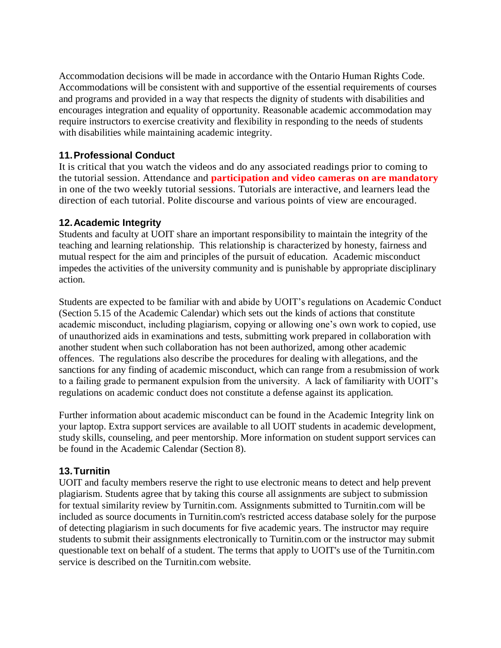Accommodation decisions will be made in accordance with the Ontario Human Rights Code. Accommodations will be consistent with and supportive of the essential requirements of courses and programs and provided in a way that respects the dignity of students with disabilities and encourages integration and equality of opportunity. Reasonable academic accommodation may require instructors to exercise creativity and flexibility in responding to the needs of students with disabilities while maintaining academic integrity.

### **11.Professional Conduct**

It is critical that you watch the videos and do any associated readings prior to coming to the tutorial session. Attendance and **participation and video cameras on are mandatory** in one of the two weekly tutorial sessions. Tutorials are interactive, and learners lead the direction of each tutorial. Polite discourse and various points of view are encouraged.

### **12.Academic Integrity**

Students and faculty at UOIT share an important responsibility to maintain the integrity of the teaching and learning relationship. This relationship is characterized by honesty, fairness and mutual respect for the aim and principles of the pursuit of education. Academic misconduct impedes the activities of the university community and is punishable by appropriate disciplinary action.

Students are expected to be familiar with and abide by UOIT's regulations on Academic Conduct (Section 5.15 of the Academic Calendar) which sets out the kinds of actions that constitute academic misconduct, including plagiarism, copying or allowing one's own work to copied, use of unauthorized aids in examinations and tests, submitting work prepared in collaboration with another student when such collaboration has not been authorized, among other academic offences. The regulations also describe the procedures for dealing with allegations, and the sanctions for any finding of academic misconduct, which can range from a resubmission of work to a failing grade to permanent expulsion from the university. A lack of familiarity with UOIT's regulations on academic conduct does not constitute a defense against its application.

Further information about academic misconduct can be found in the Academic Integrity link on your laptop. Extra support services are available to all UOIT students in academic development, study skills, counseling, and peer mentorship. More information on student support services can be found in the Academic Calendar (Section 8).

### **13.Turnitin**

UOIT and faculty members reserve the right to use electronic means to detect and help prevent plagiarism. Students agree that by taking this course all assignments are subject to submission for textual similarity review by Turnitin.com. Assignments submitted to Turnitin.com will be included as source documents in Turnitin.com's restricted access database solely for the purpose of detecting plagiarism in such documents for five academic years. The instructor may require students to submit their assignments electronically to Turnitin.com or the instructor may submit questionable text on behalf of a student. The terms that apply to UOIT's use of the Turnitin.com service is described on the Turnitin.com website.